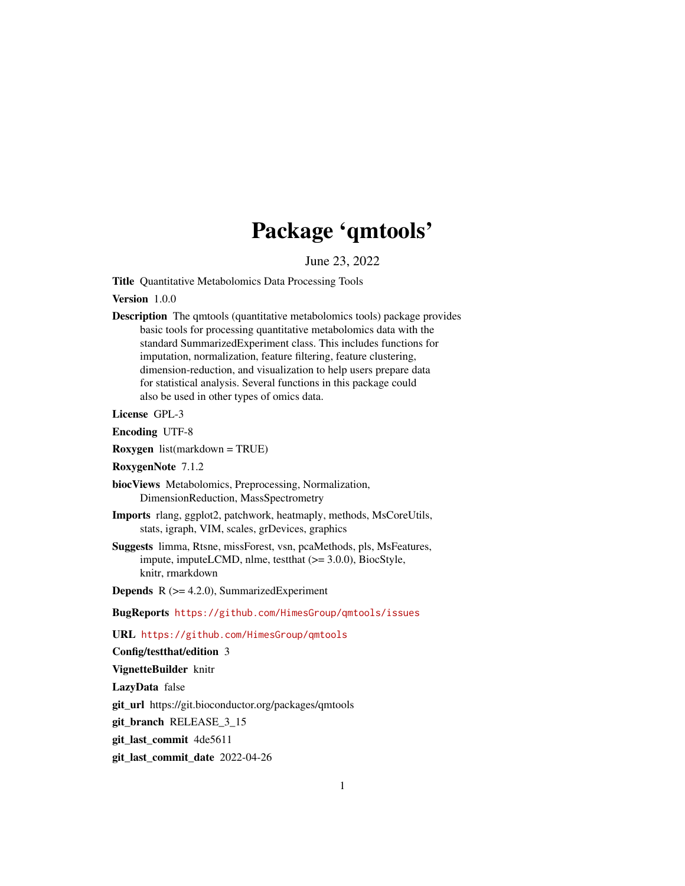## Package 'qmtools'

June 23, 2022

<span id="page-0-0"></span>Title Quantitative Metabolomics Data Processing Tools

Version 1.0.0

Description The qmtools (quantitative metabolomics tools) package provides basic tools for processing quantitative metabolomics data with the standard SummarizedExperiment class. This includes functions for imputation, normalization, feature filtering, feature clustering, dimension-reduction, and visualization to help users prepare data for statistical analysis. Several functions in this package could also be used in other types of omics data.

License GPL-3

Encoding UTF-8

Roxygen list(markdown = TRUE)

RoxygenNote 7.1.2

biocViews Metabolomics, Preprocessing, Normalization, DimensionReduction, MassSpectrometry

- Imports rlang, ggplot2, patchwork, heatmaply, methods, MsCoreUtils, stats, igraph, VIM, scales, grDevices, graphics
- Suggests limma, Rtsne, missForest, vsn, pcaMethods, pls, MsFeatures, impute, imputeLCMD, nlme, testthat (>= 3.0.0), BiocStyle, knitr, rmarkdown
- **Depends**  $R$  ( $>= 4.2.0$ ), SummarizedExperiment

BugReports <https://github.com/HimesGroup/qmtools/issues>

URL <https://github.com/HimesGroup/qmtools>

Config/testthat/edition 3

VignetteBuilder knitr

LazyData false

git\_url https://git.bioconductor.org/packages/qmtools

git\_branch RELEASE\_3\_15

git\_last\_commit 4de5611

git\_last\_commit\_date 2022-04-26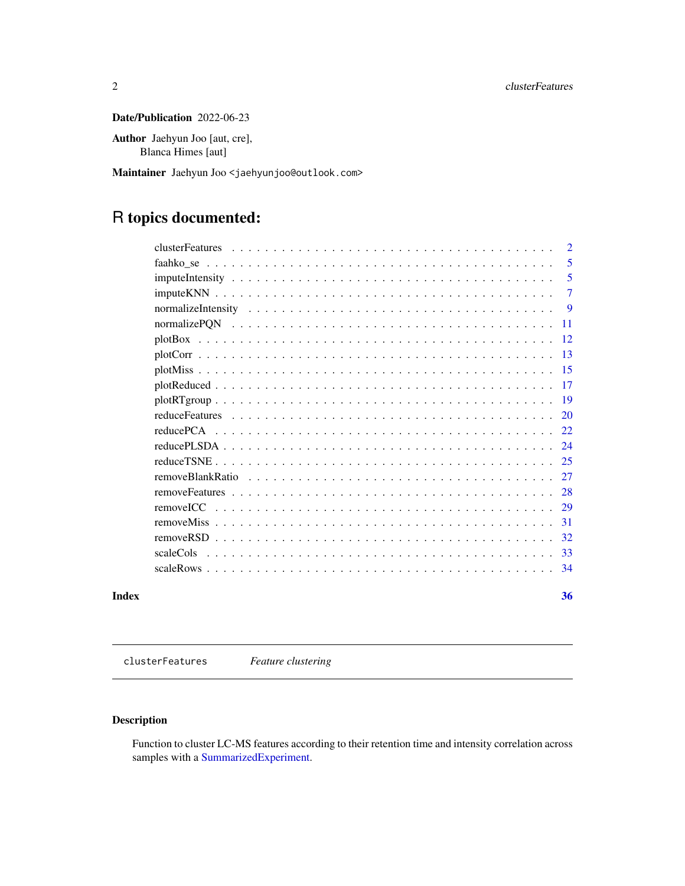### <span id="page-1-0"></span>Date/Publication 2022-06-23

Author Jaehyun Joo [aut, cre], Blanca Himes [aut]

Maintainer Jaehyun Joo <jaehyunjoo@outlook.com>

## R topics documented:

|       |                                                                                                                                                         | $\overline{2}$ |
|-------|---------------------------------------------------------------------------------------------------------------------------------------------------------|----------------|
|       |                                                                                                                                                         | 5              |
|       |                                                                                                                                                         | 5              |
|       |                                                                                                                                                         | $\overline{7}$ |
|       |                                                                                                                                                         | -9             |
|       |                                                                                                                                                         | -11            |
|       |                                                                                                                                                         |                |
|       |                                                                                                                                                         |                |
|       |                                                                                                                                                         |                |
|       |                                                                                                                                                         |                |
|       |                                                                                                                                                         |                |
|       |                                                                                                                                                         |                |
|       | reduce PCA $\ldots$ , $\ldots$ , $\ldots$ , $\ldots$ , $\ldots$ , $\ldots$ , $\ldots$ , $\ldots$ , $\ldots$ , $\ldots$ , $\ldots$ , $\ldots$ , $\ldots$ |                |
|       |                                                                                                                                                         |                |
|       |                                                                                                                                                         |                |
|       |                                                                                                                                                         |                |
|       |                                                                                                                                                         |                |
|       | removeICC                                                                                                                                               |                |
|       |                                                                                                                                                         |                |
|       |                                                                                                                                                         | 32             |
|       | scaleCols                                                                                                                                               |                |
|       |                                                                                                                                                         | 34             |
| Index |                                                                                                                                                         | 36             |

<span id="page-1-1"></span>clusterFeatures *Feature clustering*

### Description

Function to cluster LC-MS features according to their retention time and intensity correlation across samples with a [SummarizedExperiment.](#page-0-0)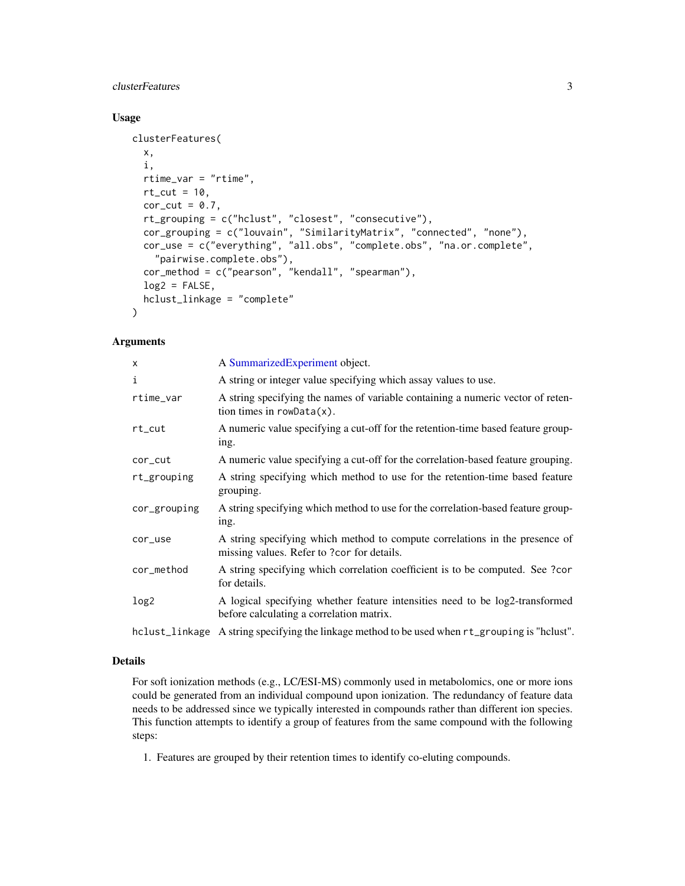### clusterFeatures 3

### Usage

```
clusterFeatures(
  x,
  i,
  rtime_var = "rtime",
  rt\_cut = 10,
  cor_{cut} = 0.7,
  rt_grouping = c("hclust", "closest", "consecutive"),
  cor_grouping = c("louvain", "SimilarityMatrix", "connected", "none"),
  cor_use = c("everything", "all.obs", "complete.obs", "na.or.complete",
    "pairwise.complete.obs"),
  cor_method = c("pearson", "kendall", "spearman"),
  log2 = FALSE,hclust_linkage = "complete"
```
### Arguments

)

| X            | A SummarizedExperiment object.                                                                                            |
|--------------|---------------------------------------------------------------------------------------------------------------------------|
| i            | A string or integer value specifying which assay values to use.                                                           |
| rtime_var    | A string specifying the names of variable containing a numeric vector of reten-<br>tion times in $rowData(x)$ .           |
| rt_cut       | A numeric value specifying a cut-off for the retention-time based feature group-<br>ing.                                  |
| cor_cut      | A numeric value specifying a cut-off for the correlation-based feature grouping.                                          |
| rt_grouping  | A string specifying which method to use for the retention-time based feature<br>grouping.                                 |
| cor_grouping | A string specifying which method to use for the correlation-based feature group-<br>ing.                                  |
| cor_use      | A string specifying which method to compute correlations in the presence of<br>missing values. Refer to ?cor for details. |
| cor_method   | A string specifying which correlation coefficient is to be computed. See ?cor<br>for details.                             |
| log2         | A logical specifying whether feature intensities need to be log2-transformed<br>before calculating a correlation matrix.  |
|              |                                                                                                                           |

### hclust\_linkage A string specifying the linkage method to be used when rt\_grouping is "hclust".

### Details

For soft ionization methods (e.g., LC/ESI-MS) commonly used in metabolomics, one or more ions could be generated from an individual compound upon ionization. The redundancy of feature data needs to be addressed since we typically interested in compounds rather than different ion species. This function attempts to identify a group of features from the same compound with the following steps:

1. Features are grouped by their retention times to identify co-eluting compounds.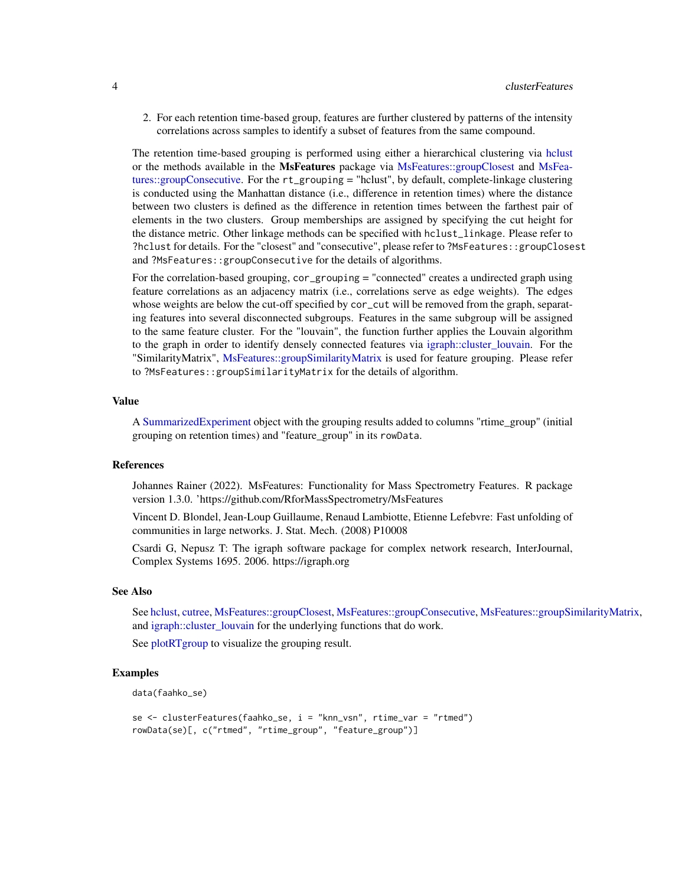<span id="page-3-0"></span>2. For each retention time-based group, features are further clustered by patterns of the intensity correlations across samples to identify a subset of features from the same compound.

The retention time-based grouping is performed using either a hierarchical clustering via [hclust](#page-0-0) or the methods available in the MsFeatures package via [MsFeatures::groupClosest](#page-0-0) and [MsFea](#page-0-0)[tures::groupConsecutive.](#page-0-0) For the rt\_grouping = "hclust", by default, complete-linkage clustering is conducted using the Manhattan distance (i.e., difference in retention times) where the distance between two clusters is defined as the difference in retention times between the farthest pair of elements in the two clusters. Group memberships are assigned by specifying the cut height for the distance metric. Other linkage methods can be specified with hclust\_linkage. Please refer to ?hclust for details. For the "closest" and "consecutive", please refer to ?MsFeatures::groupClosest and ?MsFeatures::groupConsecutive for the details of algorithms.

For the correlation-based grouping, cor\_grouping = "connected" creates a undirected graph using feature correlations as an adjacency matrix (i.e., correlations serve as edge weights). The edges whose weights are below the cut-off specified by cor\_cut will be removed from the graph, separating features into several disconnected subgroups. Features in the same subgroup will be assigned to the same feature cluster. For the "louvain", the function further applies the Louvain algorithm to the graph in order to identify densely connected features via [igraph::cluster\\_louvain.](#page-0-0) For the "SimilarityMatrix", [MsFeatures::groupSimilarityMatrix](#page-0-0) is used for feature grouping. Please refer to ?MsFeatures::groupSimilarityMatrix for the details of algorithm.

#### Value

A [SummarizedExperiment](#page-0-0) object with the grouping results added to columns "rtime\_group" (initial grouping on retention times) and "feature\_group" in its rowData.

#### References

Johannes Rainer (2022). MsFeatures: Functionality for Mass Spectrometry Features. R package version 1.3.0. 'https://github.com/RforMassSpectrometry/MsFeatures

Vincent D. Blondel, Jean-Loup Guillaume, Renaud Lambiotte, Etienne Lefebvre: Fast unfolding of communities in large networks. J. Stat. Mech. (2008) P10008

Csardi G, Nepusz T: The igraph software package for complex network research, InterJournal, Complex Systems 1695. 2006. https://igraph.org

#### See Also

See [hclust,](#page-0-0) [cutree,](#page-0-0) [MsFeatures::groupClosest,](#page-0-0) [MsFeatures::groupConsecutive,](#page-0-0) [MsFeatures::groupSimilarityMatrix,](#page-0-0) and [igraph::cluster\\_louvain](#page-0-0) for the underlying functions that do work.

See [plotRTgroup](#page-18-1) to visualize the grouping result.

```
data(faahko_se)
```

```
se <- clusterFeatures(faahko_se, i = "knn_vsn", rtime_var = "rtmed")
rowData(se)[, c("rtmed", "rtime_group", "feature_group")]
```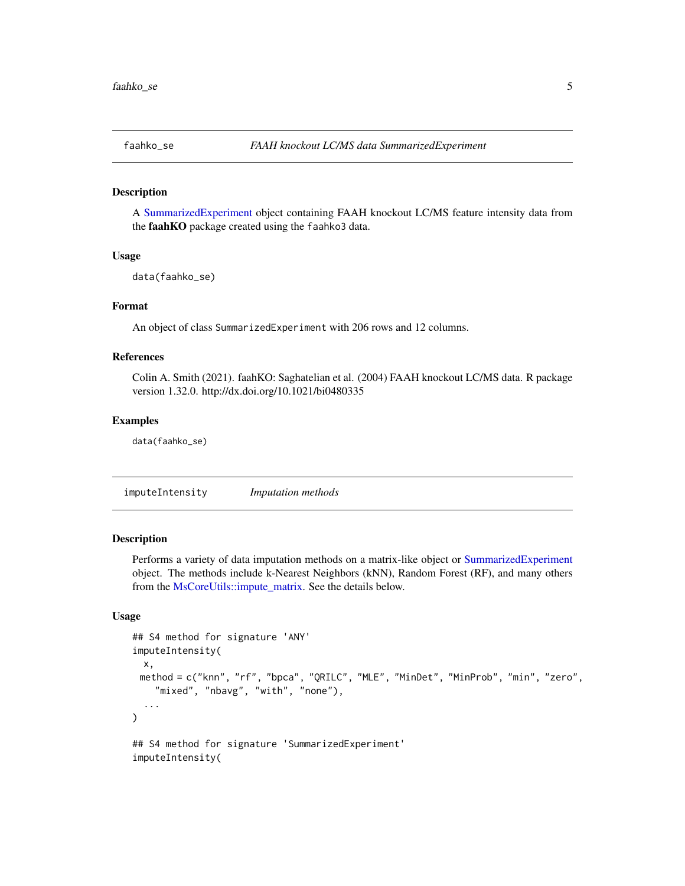<span id="page-4-0"></span>

A [SummarizedExperiment](#page-0-0) object containing FAAH knockout LC/MS feature intensity data from the faahKO package created using the faahko3 data.

#### Usage

```
data(faahko_se)
```
### Format

An object of class SummarizedExperiment with 206 rows and 12 columns.

### References

Colin A. Smith (2021). faahKO: Saghatelian et al. (2004) FAAH knockout LC/MS data. R package version 1.32.0. http://dx.doi.org/10.1021/bi0480335

#### Examples

data(faahko\_se)

<span id="page-4-1"></span>imputeIntensity *Imputation methods*

### Description

Performs a variety of data imputation methods on a matrix-like object or [SummarizedExperiment](#page-0-0) object. The methods include k-Nearest Neighbors (kNN), Random Forest (RF), and many others from the [MsCoreUtils::impute\\_matrix.](#page-0-0) See the details below.

### Usage

```
## S4 method for signature 'ANY'
imputeIntensity(
 x,
 method = c("knn", "rf", "bpca", "QRILC", "MLE", "MinDet", "MinProb", "min", "zero",
    "mixed", "nbavg", "with", "none"),
  ...
)
## S4 method for signature 'SummarizedExperiment'
imputeIntensity(
```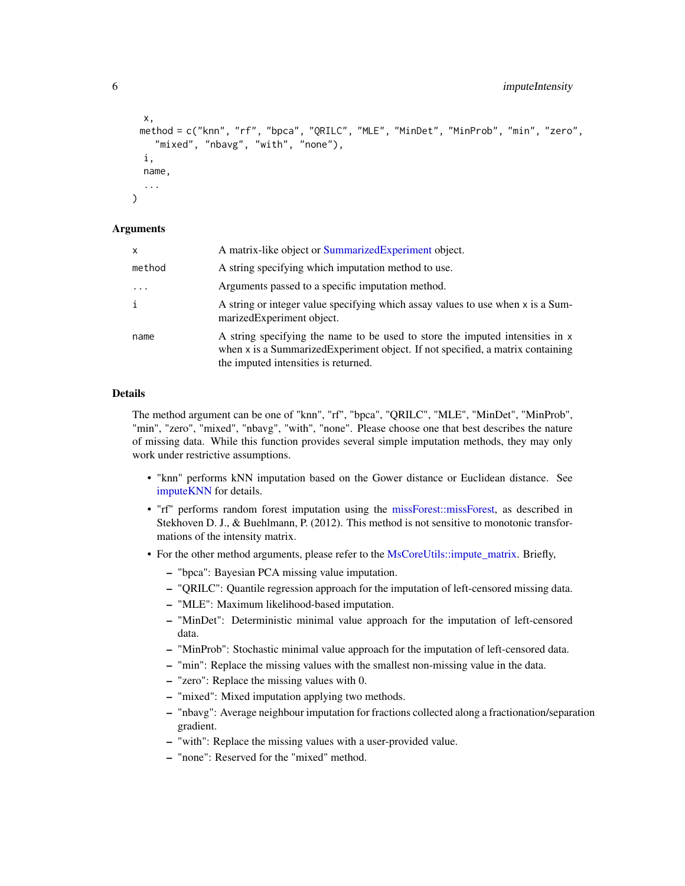```
x,
 method = c("knn", "rf", "bpca", "QRILC", "MLE", "MinDet", "MinProb", "min", "zero",
    "mixed", "nbavg", "with", "none"),
 i,
 name,
  ...
)
```
### Arguments

| x        | A matrix-like object or SummarizedExperiment object.                                                                                                                                                     |
|----------|----------------------------------------------------------------------------------------------------------------------------------------------------------------------------------------------------------|
| method   | A string specifying which imputation method to use.                                                                                                                                                      |
| $\cdots$ | Arguments passed to a specific imputation method.                                                                                                                                                        |
| i        | A string or integer value specifying which assay values to use when x is a Sum-<br>marizedExperiment object.                                                                                             |
| name     | A string specifying the name to be used to store the imputed intensities in x<br>when x is a Summarized Experiment object. If not specified, a matrix containing<br>the imputed intensities is returned. |

### Details

The method argument can be one of "knn", "rf", "bpca", "QRILC", "MLE", "MinDet", "MinProb", "min", "zero", "mixed", "nbavg", "with", "none". Please choose one that best describes the nature of missing data. While this function provides several simple imputation methods, they may only work under restrictive assumptions.

- "knn" performs kNN imputation based on the Gower distance or Euclidean distance. See [imputeKNN](#page-6-1) for details.
- "rf" performs random forest imputation using the [missForest::missForest,](#page-0-0) as described in Stekhoven D. J., & Buehlmann, P. (2012). This method is not sensitive to monotonic transformations of the intensity matrix.
- For the other method arguments, please refer to the [MsCoreUtils::impute\\_matrix.](#page-0-0) Briefly,
	- "bpca": Bayesian PCA missing value imputation.
	- "QRILC": Quantile regression approach for the imputation of left-censored missing data.
	- "MLE": Maximum likelihood-based imputation.
	- "MinDet": Deterministic minimal value approach for the imputation of left-censored data.
	- "MinProb": Stochastic minimal value approach for the imputation of left-censored data.
	- "min": Replace the missing values with the smallest non-missing value in the data.
	- "zero": Replace the missing values with 0.
	- "mixed": Mixed imputation applying two methods.
	- "nbavg": Average neighbour imputation for fractions collected along a fractionation/separation gradient.
	- "with": Replace the missing values with a user-provided value.
	- "none": Reserved for the "mixed" method.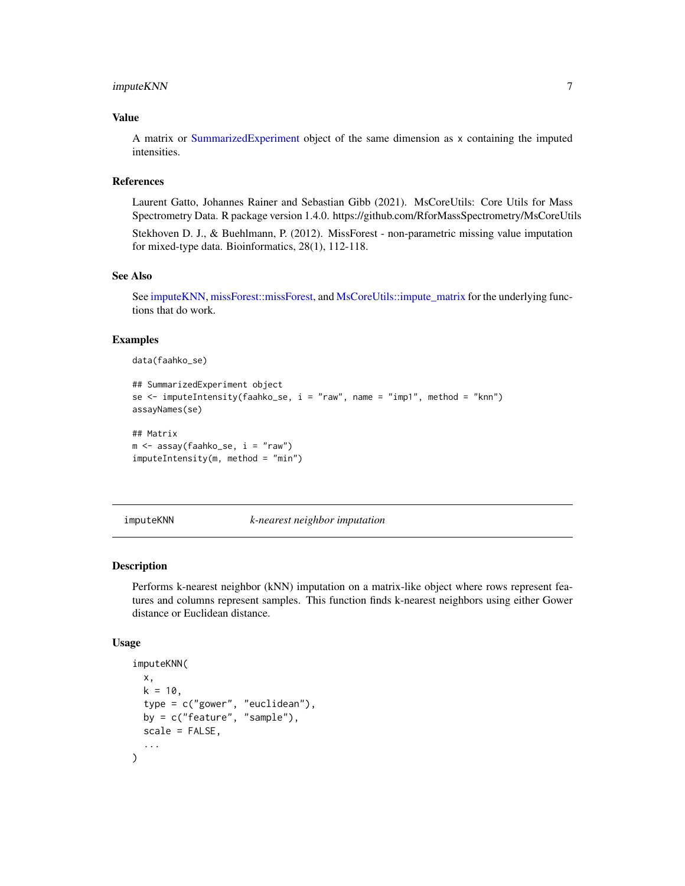### <span id="page-6-0"></span>imputeKNN 7

### Value

A matrix or [SummarizedExperiment](#page-0-0) object of the same dimension as x containing the imputed intensities.

### References

Laurent Gatto, Johannes Rainer and Sebastian Gibb (2021). MsCoreUtils: Core Utils for Mass Spectrometry Data. R package version 1.4.0. https://github.com/RforMassSpectrometry/MsCoreUtils

Stekhoven D. J., & Buehlmann, P. (2012). MissForest - non-parametric missing value imputation for mixed-type data. Bioinformatics, 28(1), 112-118.

### See Also

See [imputeKNN,](#page-6-1) [missForest::missForest,](#page-0-0) and [MsCoreUtils::impute\\_matrix](#page-0-0) for the underlying functions that do work.

### Examples

data(faahko\_se)

```
## SummarizedExperiment object
se \le imputeIntensity(faahko_se, i = "raw", name = "imp1", method = "knn")
assayNames(se)
## Matrix
m \le - assay(faahko_se, i = "raw")imputeIntensity(m, method = "min")
```
<span id="page-6-1"></span>imputeKNN *k-nearest neighbor imputation*

#### Description

Performs k-nearest neighbor (kNN) imputation on a matrix-like object where rows represent features and columns represent samples. This function finds k-nearest neighbors using either Gower distance or Euclidean distance.

#### Usage

```
imputeKNN(
 x,
 k = 10.
  type = c("gower", "euclidean"),
 by = c("feature", "sample"),
  scale = FALSE,
  ...
)
```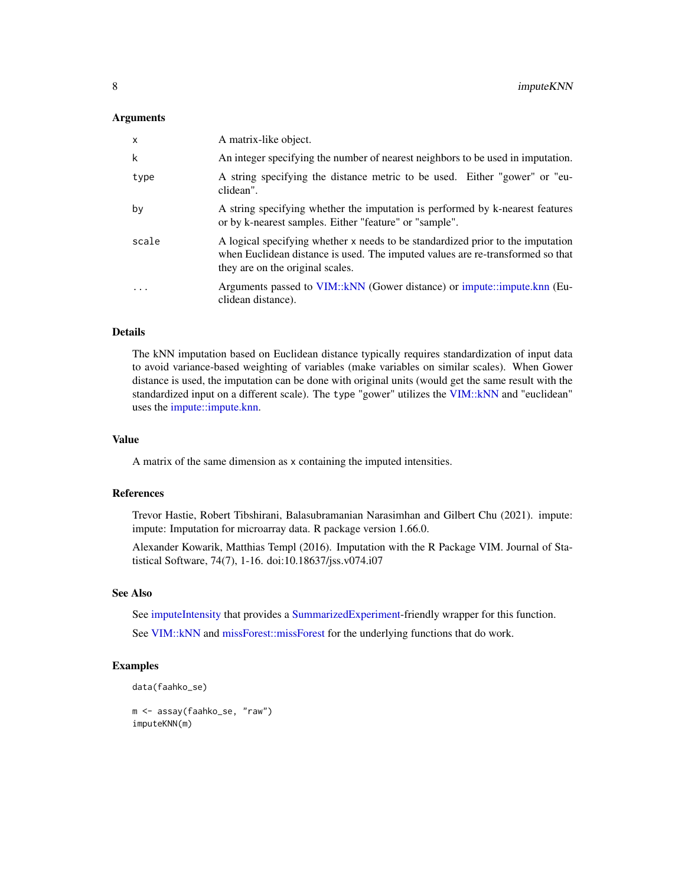#### <span id="page-7-0"></span>**Arguments**

| $\mathsf{x}$ | A matrix-like object.                                                                                                                                                                                 |
|--------------|-------------------------------------------------------------------------------------------------------------------------------------------------------------------------------------------------------|
| k            | An integer specifying the number of nearest neighbors to be used in imputation.                                                                                                                       |
| type         | A string specifying the distance metric to be used. Either "gower" or "eu-<br>clidean".                                                                                                               |
| by           | A string specifying whether the imputation is performed by k-nearest features<br>or by k-nearest samples. Either "feature" or "sample".                                                               |
| scale        | A logical specifying whether x needs to be standardized prior to the imputation<br>when Euclidean distance is used. The imputed values are re-transformed so that<br>they are on the original scales. |
| .            | Arguments passed to VIM:: kNN (Gower distance) or impute::impute.knn (Eu-<br>clidean distance).                                                                                                       |

### Details

The kNN imputation based on Euclidean distance typically requires standardization of input data to avoid variance-based weighting of variables (make variables on similar scales). When Gower distance is used, the imputation can be done with original units (would get the same result with the standardized input on a different scale). The type "gower" utilizes the [VIM::kNN](#page-0-0) and "euclidean" uses the [impute::impute.knn.](#page-0-0)

#### Value

A matrix of the same dimension as x containing the imputed intensities.

### References

Trevor Hastie, Robert Tibshirani, Balasubramanian Narasimhan and Gilbert Chu (2021). impute: impute: Imputation for microarray data. R package version 1.66.0.

Alexander Kowarik, Matthias Templ (2016). Imputation with the R Package VIM. Journal of Statistical Software, 74(7), 1-16. doi:10.18637/jss.v074.i07

#### See Also

See [imputeIntensity](#page-4-1) that provides a [SummarizedExperiment-](#page-0-0)friendly wrapper for this function.

See [VIM::kNN](#page-0-0) and [missForest::missForest](#page-0-0) for the underlying functions that do work.

```
data(faahko_se)
```

```
m <- assay(faahko_se, "raw")
imputeKNN(m)
```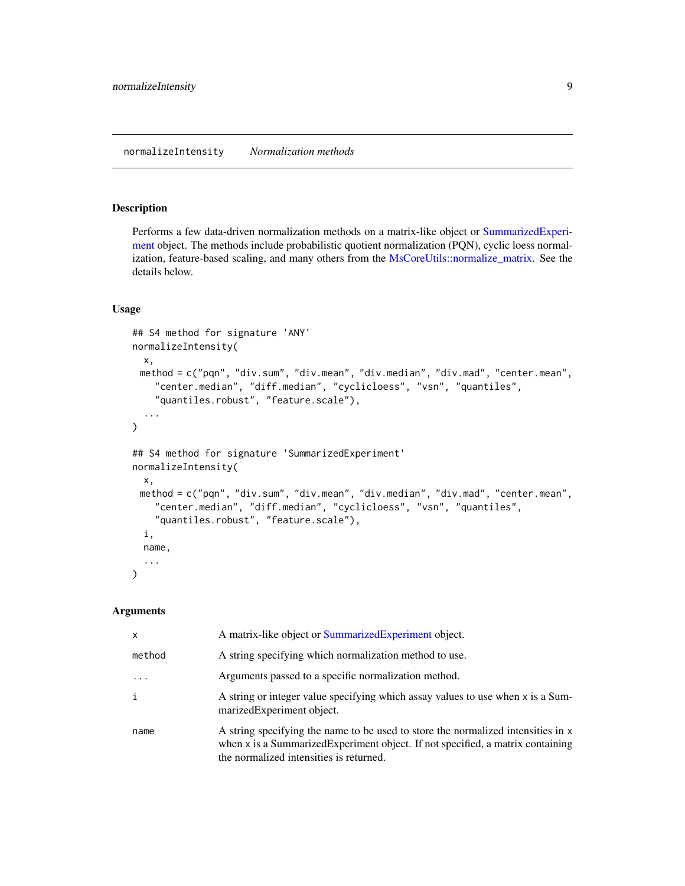<span id="page-8-1"></span><span id="page-8-0"></span>Performs a few data-driven normalization methods on a matrix-like object or [SummarizedExperi](#page-0-0)[ment](#page-0-0) object. The methods include probabilistic quotient normalization (PQN), cyclic loess normalization, feature-based scaling, and many others from the [MsCoreUtils::normalize\\_matrix.](#page-0-0) See the details below.

#### Usage

```
## S4 method for signature 'ANY'
normalizeIntensity(
 x,
 method = c("pqn", "div.sum", "div.mean", "div.median", "div.mad", "center.mean",
    "center.median", "diff.median", "cyclicloess", "vsn", "quantiles",
    "quantiles.robust", "feature.scale"),
  ...
\mathcal{L}## S4 method for signature 'SummarizedExperiment'
normalizeIntensity(
 x,
 method = c("pqn", "div.sum", "div.mean", "div.median", "div.mad", "center.mean",
    "center.median", "diff.median", "cyclicloess", "vsn", "quantiles",
    "quantiles.robust", "feature.scale"),
  i,
 name,
  ...
\lambda
```
### Arguments

| $\mathsf{x}$ | A matrix-like object or Summarized Experiment object.                                                                                                                                                          |
|--------------|----------------------------------------------------------------------------------------------------------------------------------------------------------------------------------------------------------------|
| method       | A string specifying which normalization method to use.                                                                                                                                                         |
|              | Arguments passed to a specific normalization method.                                                                                                                                                           |
| i            | A string or integer value specifying which assay values to use when x is a Sum-<br>marizedExperiment object.                                                                                                   |
| name         | A string specifying the name to be used to store the normalized intensities in x<br>when x is a Summarized Experiment object. If not specified, a matrix containing<br>the normalized intensities is returned. |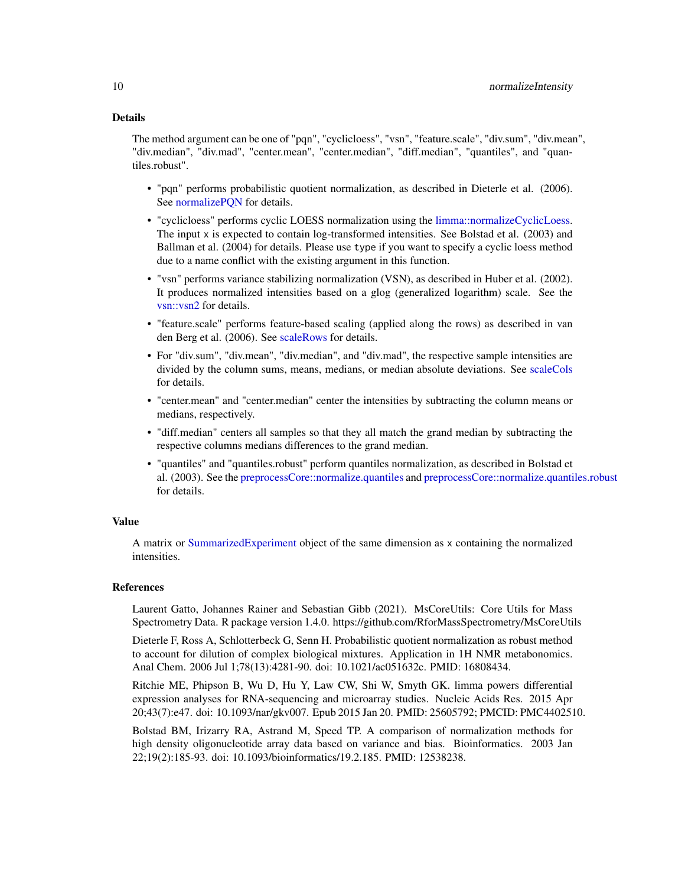### <span id="page-9-0"></span>Details

The method argument can be one of "pqn", "cyclicloess", "vsn", "feature.scale", "div.sum", "div.mean", "div.median", "div.mad", "center.mean", "center.median", "diff.median", "quantiles", and "quantiles.robust".

- "pqn" performs probabilistic quotient normalization, as described in Dieterle et al. (2006). See [normalizePQN](#page-10-1) for details.
- "cyclicloess" performs cyclic LOESS normalization using the [limma::normalizeCyclicLoess.](#page-0-0) The input x is expected to contain log-transformed intensities. See Bolstad et al. (2003) and Ballman et al. (2004) for details. Please use type if you want to specify a cyclic loess method due to a name conflict with the existing argument in this function.
- "vsn" performs variance stabilizing normalization (VSN), as described in Huber et al. (2002). It produces normalized intensities based on a glog (generalized logarithm) scale. See the [vsn::vsn2](#page-0-0) for details.
- "feature.scale" performs feature-based scaling (applied along the rows) as described in van den Berg et al. (2006). See [scaleRows](#page-33-1) for details.
- For "div.sum", "div.mean", "div.median", and "div.mad", the respective sample intensities are divided by the column sums, means, medians, or median absolute deviations. See [scaleCols](#page-32-1) for details.
- "center.mean" and "center.median" center the intensities by subtracting the column means or medians, respectively.
- "diff.median" centers all samples so that they all match the grand median by subtracting the respective columns medians differences to the grand median.
- "quantiles" and "quantiles.robust" perform quantiles normalization, as described in Bolstad et al. (2003). See the [preprocessCore::normalize.quantiles](#page-0-0) and [preprocessCore::normalize.quantiles.robust](#page-0-0) for details.

#### Value

A matrix or [SummarizedExperiment](#page-0-0) object of the same dimension as x containing the normalized intensities.

#### References

Laurent Gatto, Johannes Rainer and Sebastian Gibb (2021). MsCoreUtils: Core Utils for Mass Spectrometry Data. R package version 1.4.0. https://github.com/RforMassSpectrometry/MsCoreUtils

Dieterle F, Ross A, Schlotterbeck G, Senn H. Probabilistic quotient normalization as robust method to account for dilution of complex biological mixtures. Application in 1H NMR metabonomics. Anal Chem. 2006 Jul 1;78(13):4281-90. doi: 10.1021/ac051632c. PMID: 16808434.

Ritchie ME, Phipson B, Wu D, Hu Y, Law CW, Shi W, Smyth GK. limma powers differential expression analyses for RNA-sequencing and microarray studies. Nucleic Acids Res. 2015 Apr 20;43(7):e47. doi: 10.1093/nar/gkv007. Epub 2015 Jan 20. PMID: 25605792; PMCID: PMC4402510.

Bolstad BM, Irizarry RA, Astrand M, Speed TP. A comparison of normalization methods for high density oligonucleotide array data based on variance and bias. Bioinformatics. 2003 Jan 22;19(2):185-93. doi: 10.1093/bioinformatics/19.2.185. PMID: 12538238.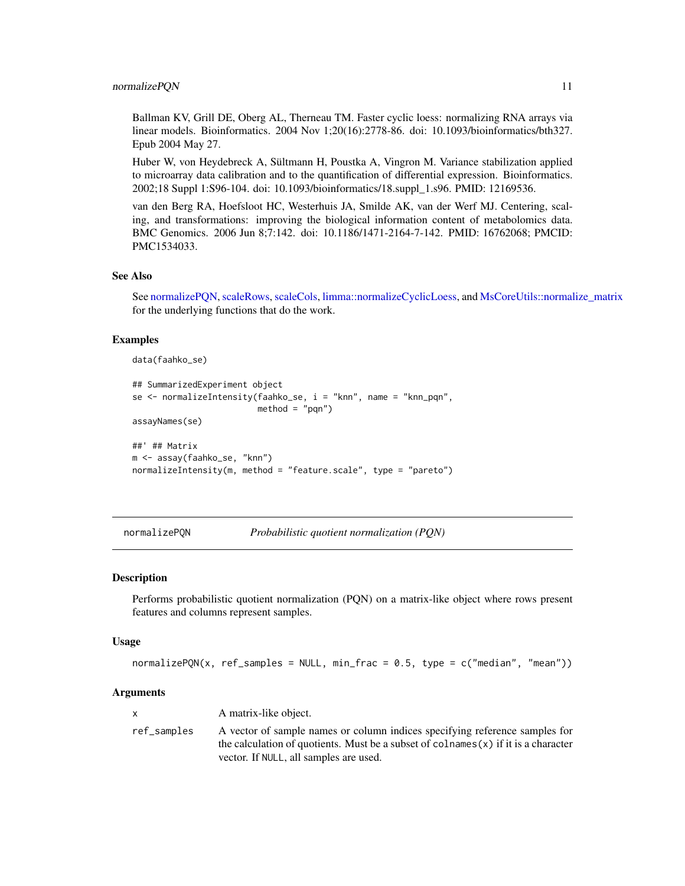#### <span id="page-10-0"></span>normalizePQN 11

Ballman KV, Grill DE, Oberg AL, Therneau TM. Faster cyclic loess: normalizing RNA arrays via linear models. Bioinformatics. 2004 Nov 1;20(16):2778-86. doi: 10.1093/bioinformatics/bth327. Epub 2004 May 27.

Huber W, von Heydebreck A, Sültmann H, Poustka A, Vingron M. Variance stabilization applied to microarray data calibration and to the quantification of differential expression. Bioinformatics. 2002;18 Suppl 1:S96-104. doi: 10.1093/bioinformatics/18.suppl\_1.s96. PMID: 12169536.

van den Berg RA, Hoefsloot HC, Westerhuis JA, Smilde AK, van der Werf MJ. Centering, scaling, and transformations: improving the biological information content of metabolomics data. BMC Genomics. 2006 Jun 8;7:142. doi: 10.1186/1471-2164-7-142. PMID: 16762068; PMCID: PMC1534033.

### See Also

See [normalizePQN,](#page-10-1) [scaleRows,](#page-33-1) [scaleCols,](#page-32-1) [limma::normalizeCyclicLoess,](#page-0-0) and [MsCoreUtils::normalize\\_matrix](#page-0-0) for the underlying functions that do the work.

### Examples

```
data(faahko_se)
```

```
## SummarizedExperiment object
se <- normalizeIntensity(faahko_se, i = "knn", name = "knn_pqn",
                         method = "pqn")assayNames(se)
##' ## Matrix
m <- assay(faahko_se, "knn")
normalizeIntensity(m, method = "feature.scale", type = "pareto")
```
<span id="page-10-1"></span>normalizePQN *Probabilistic quotient normalization (PQN)*

#### Description

Performs probabilistic quotient normalization (PQN) on a matrix-like object where rows present features and columns represent samples.

#### Usage

 $normalizePQN(x, ref_samples = NULL, min_frac = 0.5, type = c("median", "mean"))$ 

### **Arguments**

|             | A matrix-like object.                                                                                                                                                                                          |
|-------------|----------------------------------------------------------------------------------------------------------------------------------------------------------------------------------------------------------------|
| ref_samples | A vector of sample names or column indices specifying reference samples for<br>the calculation of quotients. Must be a subset of colnames $(x)$ if it is a character<br>vector. If NULL, all samples are used. |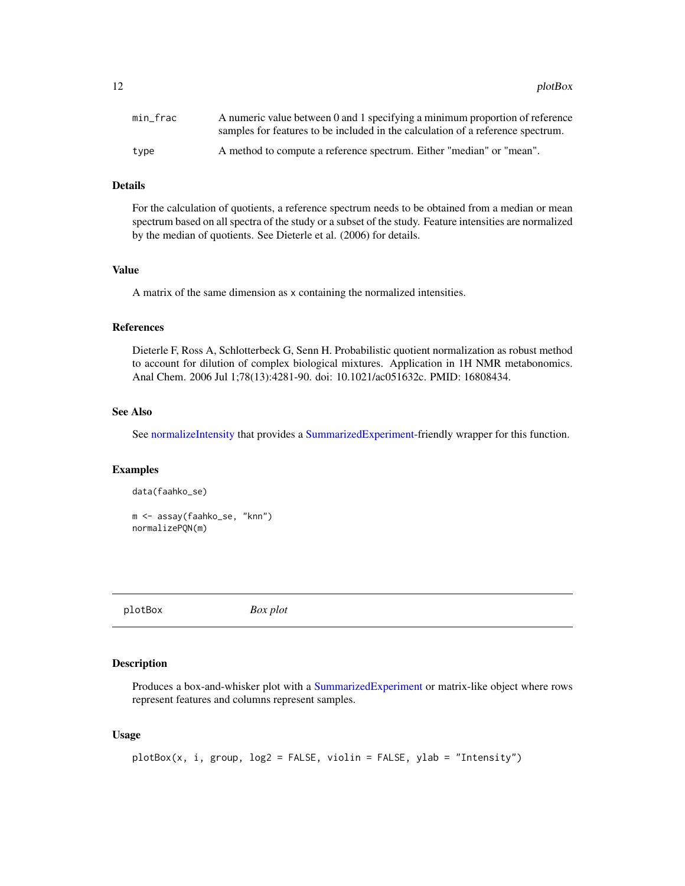<span id="page-11-0"></span>12 plotBox

| min frac | A numeric value between 0 and 1 specifying a minimum proportion of reference<br>samples for features to be included in the calculation of a reference spectrum. |
|----------|-----------------------------------------------------------------------------------------------------------------------------------------------------------------|
| type     | A method to compute a reference spectrum. Either "median" or "mean".                                                                                            |

### Details

For the calculation of quotients, a reference spectrum needs to be obtained from a median or mean spectrum based on all spectra of the study or a subset of the study. Feature intensities are normalized by the median of quotients. See Dieterle et al. (2006) for details.

### Value

A matrix of the same dimension as x containing the normalized intensities.

#### References

Dieterle F, Ross A, Schlotterbeck G, Senn H. Probabilistic quotient normalization as robust method to account for dilution of complex biological mixtures. Application in 1H NMR metabonomics. Anal Chem. 2006 Jul 1;78(13):4281-90. doi: 10.1021/ac051632c. PMID: 16808434.

### See Also

See [normalizeIntensity](#page-8-1) that provides a [SummarizedExperiment-](#page-0-0)friendly wrapper for this function.

#### Examples

```
data(faahko_se)
```

```
m <- assay(faahko_se, "knn")
normalizePQN(m)
```
plotBox *Box plot*

### Description

Produces a box-and-whisker plot with a [SummarizedExperiment](#page-0-0) or matrix-like object where rows represent features and columns represent samples.

### Usage

```
plotBox(x, i, group, log2 = FALSE, violin = FALSE, ylab = "Intensity")
```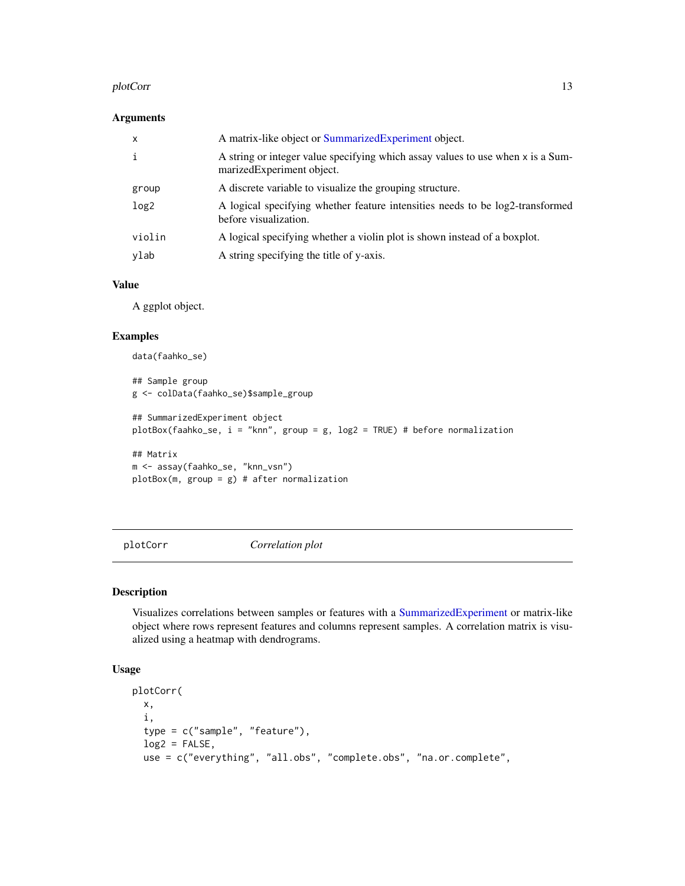#### <span id="page-12-0"></span>plotCorr and the state of the state of the state of the state of the state of the state of the state of the state of the state of the state of the state of the state of the state of the state of the state of the state of t

### Arguments

| $\mathsf{x}$     | A matrix-like object or SummarizedExperiment object.                                                         |
|------------------|--------------------------------------------------------------------------------------------------------------|
| i                | A string or integer value specifying which assay values to use when x is a Sum-<br>marizedExperiment object. |
| group            | A discrete variable to visualize the grouping structure.                                                     |
| log <sub>2</sub> | A logical specifying whether feature intensities needs to be log2-transformed<br>before visualization.       |
| violin           | A logical specifying whether a violin plot is shown instead of a boxplot.                                    |
| ylab             | A string specifying the title of y-axis.                                                                     |

### Value

A ggplot object.

### Examples

```
data(faahko_se)
## Sample group
g <- colData(faahko_se)$sample_group
## SummarizedExperiment object
plotBox(faahko_se, i = "knn", group = g, log2 = TRUE) # before normalization
## Matrix
m <- assay(faahko_se, "knn_vsn")
plotBox(m, group = g) # after normalization
```
plotCorr *Correlation plot*

### Description

Visualizes correlations between samples or features with a [SummarizedExperiment](#page-0-0) or matrix-like object where rows represent features and columns represent samples. A correlation matrix is visualized using a heatmap with dendrograms.

### Usage

```
plotCorr(
 x,
 i,
 type = c("sample", "feature"),
 log2 = FALSE,use = c("everything", "all.obs", "complete.obs", "na.or.complete",
```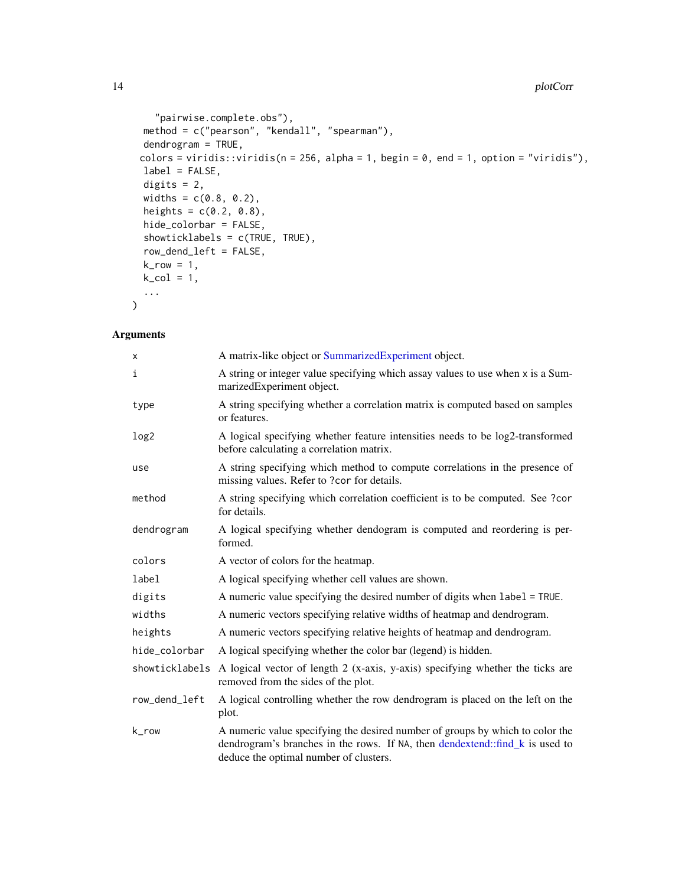```
"pairwise.complete.obs"),
method = c("pearson", "kendall", "spearman"),
dendrogram = TRUE,
colors = viridis::viridis(n = 256, alpha = 1, begin = 0, end = 1, option = "viridis"),label = FALSE,digits = 2,
widths = c(0.8, 0.2),heights = c(0.2, 0.8),
hide_colorbar = FALSE,
showticklabels = c(TRUE, TRUE),
row_dend_left = FALSE,
k_{row} = 1,
k_{col} = 1,
...
```
### Arguments

 $\mathcal{L}$ 

| X                | A matrix-like object or SummarizedExperiment object.                                                                                                                                                    |
|------------------|---------------------------------------------------------------------------------------------------------------------------------------------------------------------------------------------------------|
| i                | A string or integer value specifying which assay values to use when x is a Sum-<br>marizedExperiment object.                                                                                            |
| type             | A string specifying whether a correlation matrix is computed based on samples<br>or features.                                                                                                           |
| log <sub>2</sub> | A logical specifying whether feature intensities needs to be log2-transformed<br>before calculating a correlation matrix.                                                                               |
| use              | A string specifying which method to compute correlations in the presence of<br>missing values. Refer to ?cor for details.                                                                               |
| method           | A string specifying which correlation coefficient is to be computed. See ?cor<br>for details.                                                                                                           |
| dendrogram       | A logical specifying whether dendogram is computed and reordering is per-<br>formed.                                                                                                                    |
| colors           | A vector of colors for the heatmap.                                                                                                                                                                     |
| label            | A logical specifying whether cell values are shown.                                                                                                                                                     |
| digits           | A numeric value specifying the desired number of digits when label = TRUE.                                                                                                                              |
| widths           | A numeric vectors specifying relative widths of heatmap and dendrogram.                                                                                                                                 |
| heights          | A numeric vectors specifying relative heights of heatmap and dendrogram.                                                                                                                                |
| hide_colorbar    | A logical specifying whether the color bar (legend) is hidden.                                                                                                                                          |
| showticklabels   | A logical vector of length 2 (x-axis, y-axis) specifying whether the ticks are<br>removed from the sides of the plot.                                                                                   |
| row_dend_left    | A logical controlling whether the row dendrogram is placed on the left on the<br>plot.                                                                                                                  |
| k_row            | A numeric value specifying the desired number of groups by which to color the<br>dendrogram's branches in the rows. If NA, then dendextend::find k is used to<br>deduce the optimal number of clusters. |

<span id="page-13-0"></span>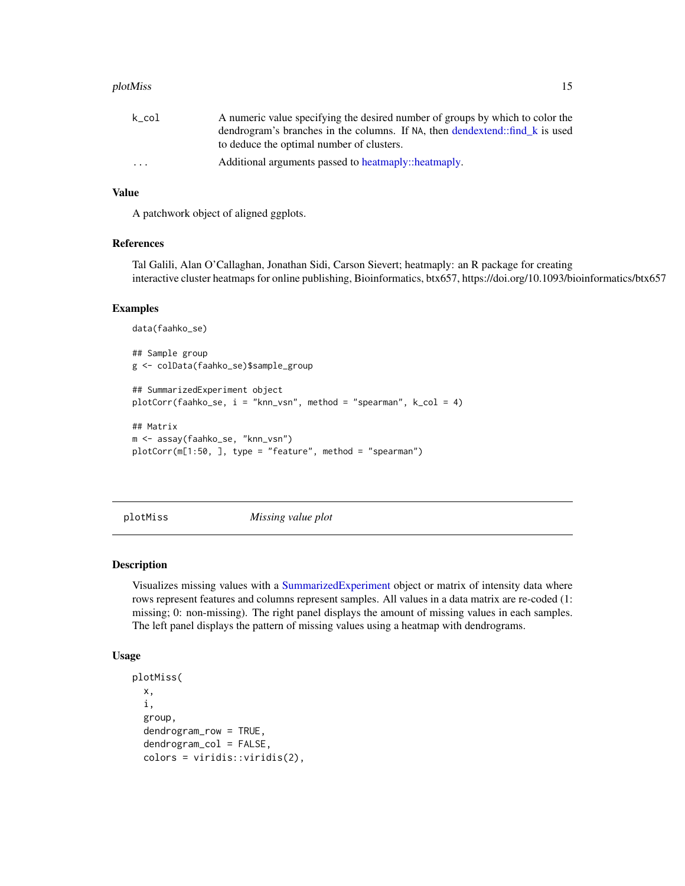#### <span id="page-14-0"></span>plotMiss and the state of the state of the state of the state of the state of the state of the state of the state of the state of the state of the state of the state of the state of the state of the state of the state of t

| k_col   | A numeric value specifying the desired number of groups by which to color the |
|---------|-------------------------------------------------------------------------------|
|         | dendrogram's branches in the columns. If NA, then dendextend: find k is used  |
|         | to deduce the optimal number of clusters.                                     |
| $\cdot$ | Additional arguments passed to heatmaply::heatmaply.                          |

### Value

A patchwork object of aligned ggplots.

### References

Tal Galili, Alan O'Callaghan, Jonathan Sidi, Carson Sievert; heatmaply: an R package for creating interactive cluster heatmaps for online publishing, Bioinformatics, btx657, https://doi.org/10.1093/bioinformatics/btx657

#### Examples

```
data(faahko_se)
## Sample group
g <- colData(faahko_se)$sample_group
## SummarizedExperiment object
plotCorr(faahko_se, i = "knn_vsn", method = "spearman", k_col = 4)
## Matrix
m <- assay(faahko_se, "knn_vsn")
plotCorr(m[1:50, ], type = "feature", method = "spearman")
```
plotMiss *Missing value plot*

#### Description

Visualizes missing values with a [SummarizedExperiment](#page-0-0) object or matrix of intensity data where rows represent features and columns represent samples. All values in a data matrix are re-coded (1: missing; 0: non-missing). The right panel displays the amount of missing values in each samples. The left panel displays the pattern of missing values using a heatmap with dendrograms.

#### Usage

```
plotMiss(
  x,
  i,
  group,
 dendrogram_row = TRUE,
  dendrogram_col = FALSE,
  colors = viridis::viridis(2),
```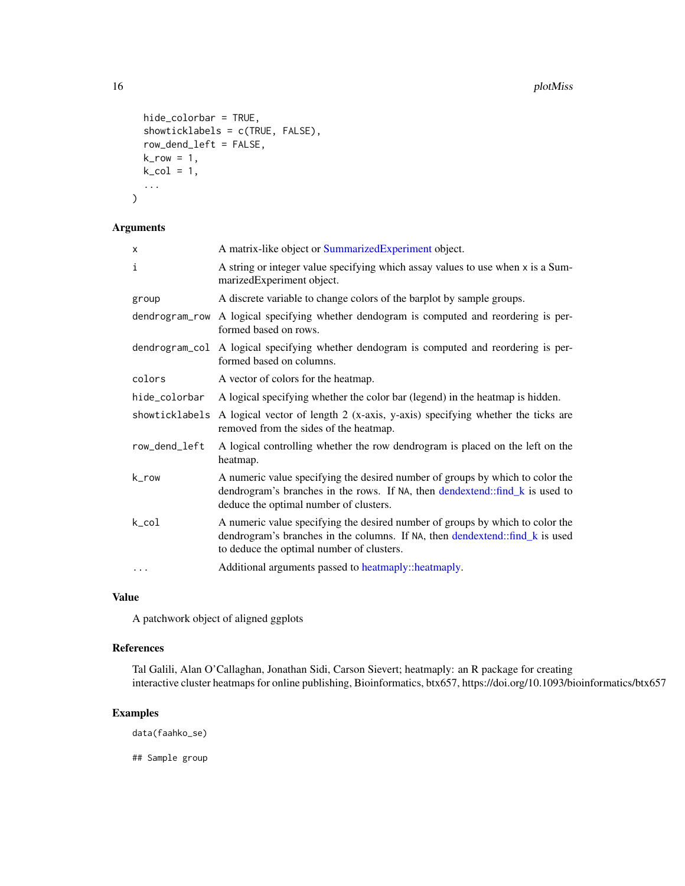```
hide_colorbar = TRUE,
showticklabels = c(TRUE, FALSE),
row_dend_left = FALSE,
k_{r}row = 1,
k_{col} = 1,
...
```
### Arguments

)

| X              | A matrix-like object or SummarizedExperiment object.                                                                                                                                                       |
|----------------|------------------------------------------------------------------------------------------------------------------------------------------------------------------------------------------------------------|
| i              | A string or integer value specifying which assay values to use when x is a Sum-<br>marizedExperiment object.                                                                                               |
| group          | A discrete variable to change colors of the barplot by sample groups.                                                                                                                                      |
|                | dendrogram_row A logical specifying whether dendogram is computed and reordering is per-<br>formed based on rows.                                                                                          |
|                | dendrogram_col A logical specifying whether dendogram is computed and reordering is per-<br>formed based on columns.                                                                                       |
| colors         | A vector of colors for the heatmap.                                                                                                                                                                        |
| hide_colorbar  | A logical specifying whether the color bar (legend) in the heatmap is hidden.                                                                                                                              |
| showticklabels | A logical vector of length 2 (x-axis, y-axis) specifying whether the ticks are<br>removed from the sides of the heatmap.                                                                                   |
| row_dend_left  | A logical controlling whether the row dendrogram is placed on the left on the<br>heatmap.                                                                                                                  |
| k_row          | A numeric value specifying the desired number of groups by which to color the<br>dendrogram's branches in the rows. If NA, then dendextend: find k is used to<br>deduce the optimal number of clusters.    |
| $k\_{col}$     | A numeric value specifying the desired number of groups by which to color the<br>dendrogram's branches in the columns. If NA, then dendextend::find_k is used<br>to deduce the optimal number of clusters. |
| $\cdots$       | Additional arguments passed to heatmaply::heatmaply.                                                                                                                                                       |

### Value

A patchwork object of aligned ggplots

### References

Tal Galili, Alan O'Callaghan, Jonathan Sidi, Carson Sievert; heatmaply: an R package for creating interactive cluster heatmaps for online publishing, Bioinformatics, btx657, https://doi.org/10.1093/bioinformatics/btx657

### Examples

data(faahko\_se)

## Sample group

<span id="page-15-0"></span>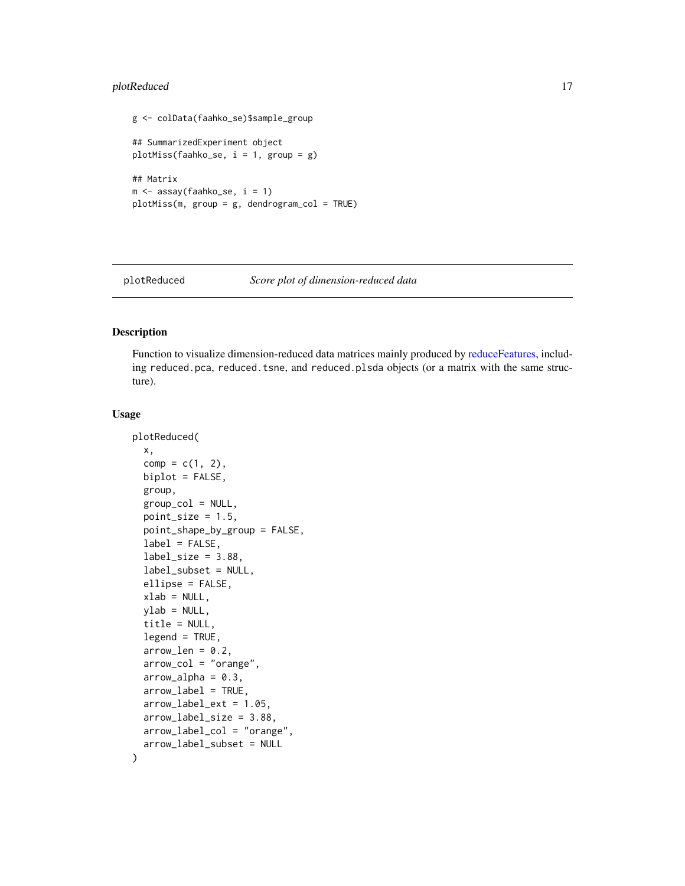### <span id="page-16-0"></span>plotReduced 17

```
g <- colData(faahko_se)$sample_group
## SummarizedExperiment object
plotMiss(faahko_se, i = 1, group = g)## Matrix
m <- assay(faahko_se, i = 1)
plotMiss(m, group = g, dendrogram_col = TRUE)
```
<span id="page-16-1"></span>

plotReduced *Score plot of dimension-reduced data*

### Description

Function to visualize dimension-reduced data matrices mainly produced by [reduceFeatures,](#page-19-1) including reduced.pca, reduced.tsne, and reduced.plsda objects (or a matrix with the same structure).

#### Usage

```
plotReduced(
  x,
  comp = c(1, 2),
  biplot = FALSE,
  group,
  group\_col = NULL,point_size = 1.5,
  point_shape_by_group = FALSE,
  label = FALSE,label\_size = 3.88,
  label_subset = NULL,
  ellipse = FALSE,
  xlab = NULL,ylab = NULL,
  title = NULL,
  legend = TRUE,arrow\_len = 0.2,
  arrow_col = "orange",
  arrow\_alpha = 0.3,
  arrow\_label = TRUE,
  arrow_label_ext = 1.05,
  arrow_label_size = 3.88,
  arrow_label_col = "orange",
  arrow_label_subset = NULL
)
```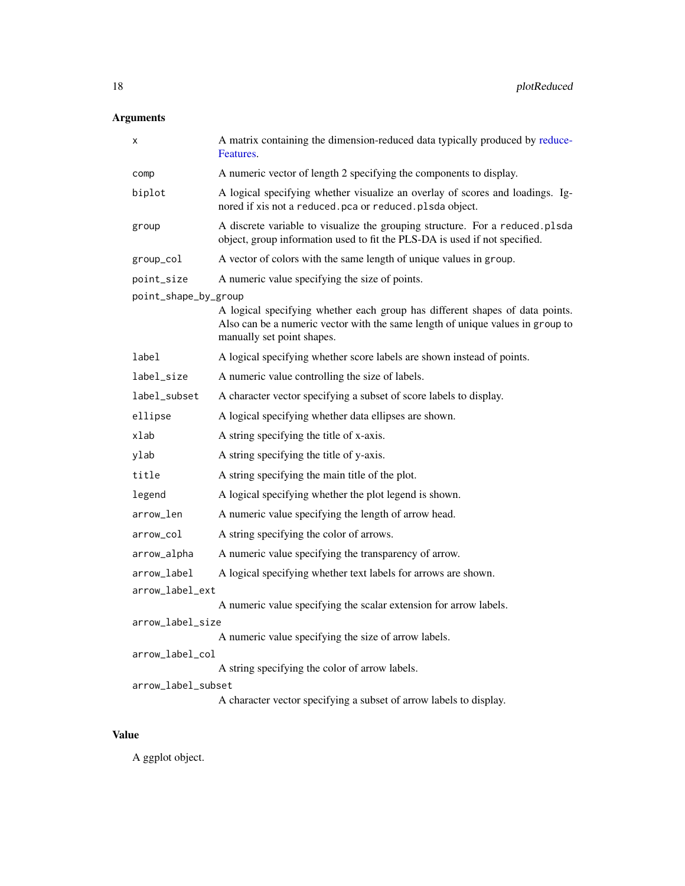### <span id="page-17-0"></span>Arguments

| х                    | A matrix containing the dimension-reduced data typically produced by reduce-<br>Features.                                                                                                    |  |
|----------------------|----------------------------------------------------------------------------------------------------------------------------------------------------------------------------------------------|--|
| comp                 | A numeric vector of length 2 specifying the components to display.                                                                                                                           |  |
| biplot               | A logical specifying whether visualize an overlay of scores and loadings. Ig-<br>nored if xis not a reduced.pca or reduced.plsda object.                                                     |  |
| group                | A discrete variable to visualize the grouping structure. For a reduced.plsda<br>object, group information used to fit the PLS-DA is used if not specified.                                   |  |
| group_col            | A vector of colors with the same length of unique values in group.                                                                                                                           |  |
| point_size           | A numeric value specifying the size of points.                                                                                                                                               |  |
| point_shape_by_group |                                                                                                                                                                                              |  |
|                      | A logical specifying whether each group has different shapes of data points.<br>Also can be a numeric vector with the same length of unique values in group to<br>manually set point shapes. |  |
| label                | A logical specifying whether score labels are shown instead of points.                                                                                                                       |  |
| label_size           | A numeric value controlling the size of labels.                                                                                                                                              |  |
| label_subset         | A character vector specifying a subset of score labels to display.                                                                                                                           |  |
| ellipse              | A logical specifying whether data ellipses are shown.                                                                                                                                        |  |
| xlab                 | A string specifying the title of x-axis.                                                                                                                                                     |  |
| ylab                 | A string specifying the title of y-axis.                                                                                                                                                     |  |
| title                | A string specifying the main title of the plot.                                                                                                                                              |  |
| legend               | A logical specifying whether the plot legend is shown.                                                                                                                                       |  |
| arrow_len            | A numeric value specifying the length of arrow head.                                                                                                                                         |  |
| arrow_col            | A string specifying the color of arrows.                                                                                                                                                     |  |
| arrow_alpha          | A numeric value specifying the transparency of arrow.                                                                                                                                        |  |
| arrow_label          | A logical specifying whether text labels for arrows are shown.                                                                                                                               |  |
| arrow_label_ext      |                                                                                                                                                                                              |  |
|                      | A numeric value specifying the scalar extension for arrow labels.                                                                                                                            |  |
| arrow_label_size     | A numeric value specifying the size of arrow labels.                                                                                                                                         |  |
| arrow_label_col      |                                                                                                                                                                                              |  |
|                      | A string specifying the color of arrow labels.                                                                                                                                               |  |
| arrow_label_subset   |                                                                                                                                                                                              |  |
|                      | A character vector specifying a subset of arrow labels to display.                                                                                                                           |  |

### Value

A ggplot object.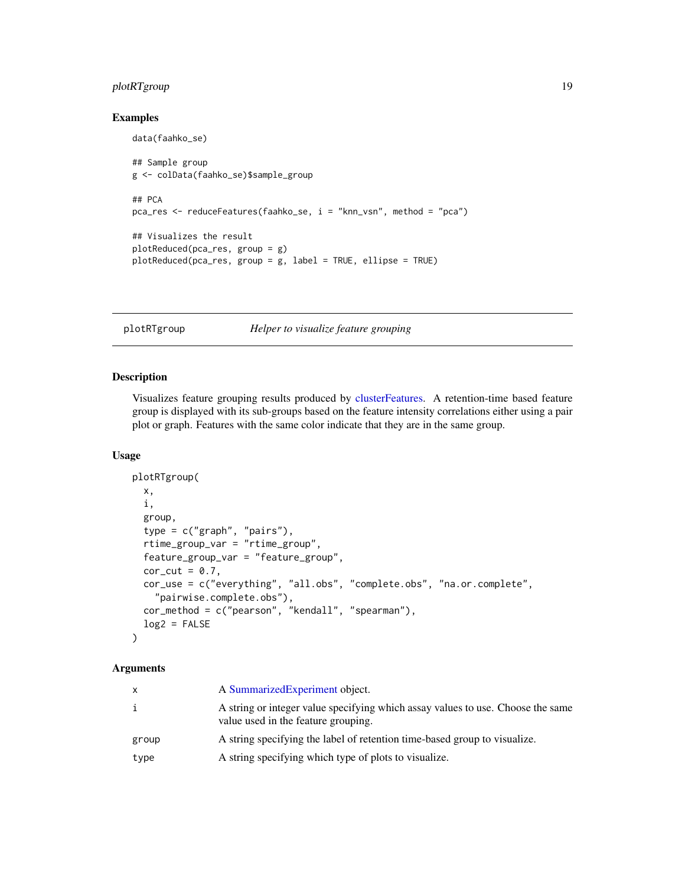### <span id="page-18-0"></span>plotRTgroup 19

### Examples

```
data(faahko_se)
## Sample group
g <- colData(faahko_se)$sample_group
## PCA
pca_res <- reduceFeatures(faahko_se, i = "knn_vsn", method = "pca")
## Visualizes the result
plotReduced(pca_res, group = g)
plotReduced(pca_res, group = g, label = TRUE, ellipse = TRUE)
```
<span id="page-18-1"></span>plotRTgroup *Helper to visualize feature grouping*

#### Description

Visualizes feature grouping results produced by [clusterFeatures.](#page-1-1) A retention-time based feature group is displayed with its sub-groups based on the feature intensity correlations either using a pair plot or graph. Features with the same color indicate that they are in the same group.

### Usage

```
plotRTgroup(
 x,
  i,
  group,
  type = c("graph", "pairs"),
  rtime_group_var = "rtime_group",
  feature_group_var = "feature_group",
 cor_{cut} = 0.7,
  cor_use = c("everything", "all.obs", "complete.obs", "na.or.complete",
    "pairwise.complete.obs"),
 cor_method = c("pearson", "kendall", "spearman"),
 log2 = FALSE)
```
### Arguments

| x     | A Summarized Experiment object.                                                                                        |
|-------|------------------------------------------------------------------------------------------------------------------------|
| i     | A string or integer value specifying which assay values to use. Choose the same<br>value used in the feature grouping. |
| group | A string specifying the label of retention time-based group to visualize.                                              |
| type  | A string specifying which type of plots to visualize.                                                                  |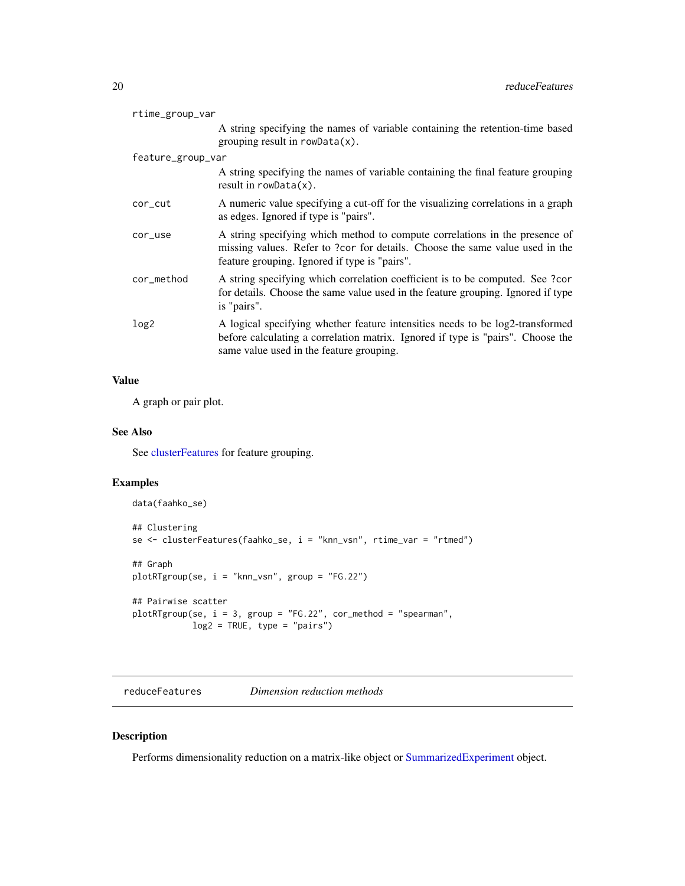<span id="page-19-0"></span>

| rtime_group_var   |                                                                                                                                                                                                              |
|-------------------|--------------------------------------------------------------------------------------------------------------------------------------------------------------------------------------------------------------|
|                   | A string specifying the names of variable containing the retention-time based<br>grouping result in $rowData(x)$ .                                                                                           |
| feature_group_var |                                                                                                                                                                                                              |
|                   | A string specifying the names of variable containing the final feature grouping<br>result in $rowData(x)$ .                                                                                                  |
| cor_cut           | A numeric value specifying a cut-off for the visualizing correlations in a graph<br>as edges. Ignored if type is "pairs".                                                                                    |
| cor_use           | A string specifying which method to compute correlations in the presence of<br>missing values. Refer to ?cor for details. Choose the same value used in the<br>feature grouping. Ignored if type is "pairs". |
| cor_method        | A string specifying which correlation coefficient is to be computed. See ?cor<br>for details. Choose the same value used in the feature grouping. Ignored if type<br>is "pairs".                             |
| log <sub>2</sub>  | A logical specifying whether feature intensities needs to be log2-transformed<br>before calculating a correlation matrix. Ignored if type is "pairs". Choose the<br>same value used in the feature grouping. |

### Value

A graph or pair plot.

### See Also

See [clusterFeatures](#page-1-1) for feature grouping.

### Examples

```
data(faahko_se)
## Clustering
se <- clusterFeatures(faahko_se, i = "knn_vsn", rtime_var = "rtmed")
## Graph
plotRTgroup(se, i = "knn_vsn", group = "FG.22")
## Pairwise scatter
plotRTgroup(se, i = 3, group = "FG.22", cor_method = "spearman",
           log2 = TRUE, type = "pairs")
```
<span id="page-19-1"></span>reduceFeatures *Dimension reduction methods*

### Description

Performs dimensionality reduction on a matrix-like object or [SummarizedExperiment](#page-0-0) object.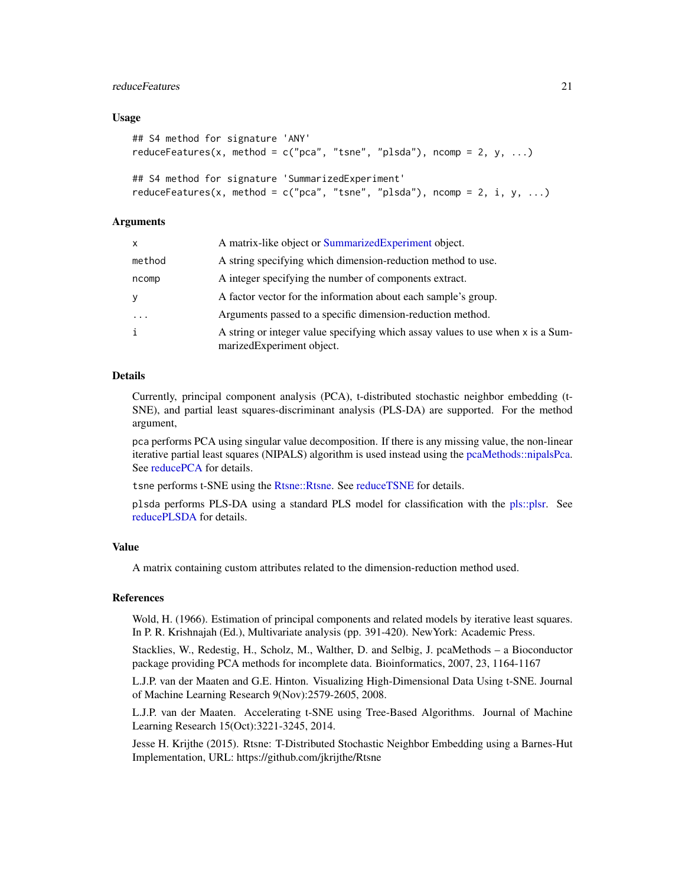### <span id="page-20-0"></span>reduceFeatures 21

### Usage

```
## S4 method for signature 'ANY'
reduceFeatures(x, method = c("pca", "tsne", "plsda"), ncomp = 2, y, ...)
## S4 method for signature 'SummarizedExperiment'
reduceFeatures(x, method = c("pca", "tsne", "plsda"), ncomp = 2, i, y, ...)
```
### Arguments

| x      | A matrix-like object or SummarizedExperiment object.                                                         |
|--------|--------------------------------------------------------------------------------------------------------------|
| method | A string specifying which dimension-reduction method to use.                                                 |
| ncomp  | A integer specifying the number of components extract.                                                       |
|        | A factor vector for the information about each sample's group.                                               |
| .      | Arguments passed to a specific dimension-reduction method.                                                   |
| i      | A string or integer value specifying which assay values to use when x is a Sum-<br>marizedExperiment object. |

### Details

Currently, principal component analysis (PCA), t-distributed stochastic neighbor embedding (t-SNE), and partial least squares-discriminant analysis (PLS-DA) are supported. For the method argument,

pca performs PCA using singular value decomposition. If there is any missing value, the non-linear iterative partial least squares (NIPALS) algorithm is used instead using the [pcaMethods::nipalsPca.](#page-0-0) See [reducePCA](#page-21-1) for details.

tsne performs t-SNE using the [Rtsne::Rtsne.](#page-0-0) See [reduceTSNE](#page-24-1) for details.

plsda performs PLS-DA using a standard PLS model for classification with the [pls::plsr.](#page-0-0) See [reducePLSDA](#page-23-1) for details.

### Value

A matrix containing custom attributes related to the dimension-reduction method used.

### References

Wold, H. (1966). Estimation of principal components and related models by iterative least squares. In P. R. Krishnajah (Ed.), Multivariate analysis (pp. 391-420). NewYork: Academic Press.

Stacklies, W., Redestig, H., Scholz, M., Walther, D. and Selbig, J. pcaMethods – a Bioconductor package providing PCA methods for incomplete data. Bioinformatics, 2007, 23, 1164-1167

L.J.P. van der Maaten and G.E. Hinton. Visualizing High-Dimensional Data Using t-SNE. Journal of Machine Learning Research 9(Nov):2579-2605, 2008.

L.J.P. van der Maaten. Accelerating t-SNE using Tree-Based Algorithms. Journal of Machine Learning Research 15(Oct):3221-3245, 2014.

Jesse H. Krijthe (2015). Rtsne: T-Distributed Stochastic Neighbor Embedding using a Barnes-Hut Implementation, URL: https://github.com/jkrijthe/Rtsne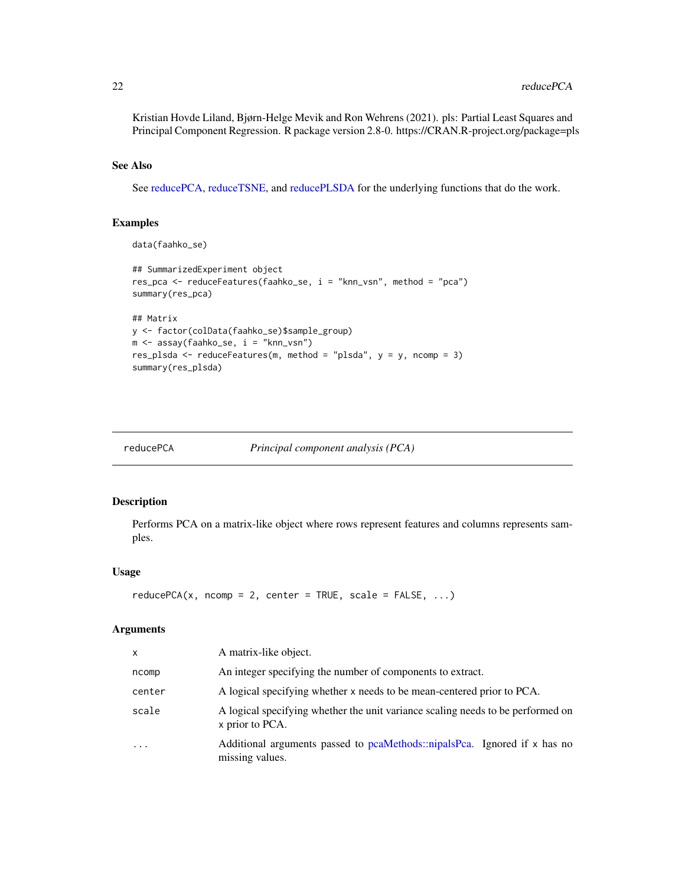<span id="page-21-0"></span>Kristian Hovde Liland, Bjørn-Helge Mevik and Ron Wehrens (2021). pls: Partial Least Squares and Principal Component Regression. R package version 2.8-0. https://CRAN.R-project.org/package=pls

### See Also

See [reducePCA,](#page-21-1) [reduceTSNE,](#page-24-1) and [reducePLSDA](#page-23-1) for the underlying functions that do the work.

### Examples

```
data(faahko_se)
## SummarizedExperiment object
res_pca <- reduceFeatures(faahko_se, i = "knn_vsn", method = "pca")
summary(res_pca)
## Matrix
y <- factor(colData(faahko_se)$sample_group)
m <- assay(faahko_se, i = "knn_vsn")
res_plsda <- reduceFeatures(m, method = "plsda", y = y, ncomp = 3)
summary(res_plsda)
```
<span id="page-21-1"></span>

| reducePCA | Principal component analysis (PCA) |  |
|-----------|------------------------------------|--|
|           |                                    |  |

### Description

Performs PCA on a matrix-like object where rows represent features and columns represents samples.

### Usage

```
reducePCA(x, ncomp = 2, center = TRUE, scale = FALSE, ...)
```
### Arguments

| x         | A matrix-like object.                                                                              |
|-----------|----------------------------------------------------------------------------------------------------|
| ncomp     | An integer specifying the number of components to extract.                                         |
| center    | A logical specifying whether x needs to be mean-centered prior to PCA.                             |
| scale     | A logical specifying whether the unit variance scaling needs to be performed on<br>x prior to PCA. |
| $\ddotsc$ | Additional arguments passed to pcaMethods::nipalsPca. Ignored if x has no<br>missing values.       |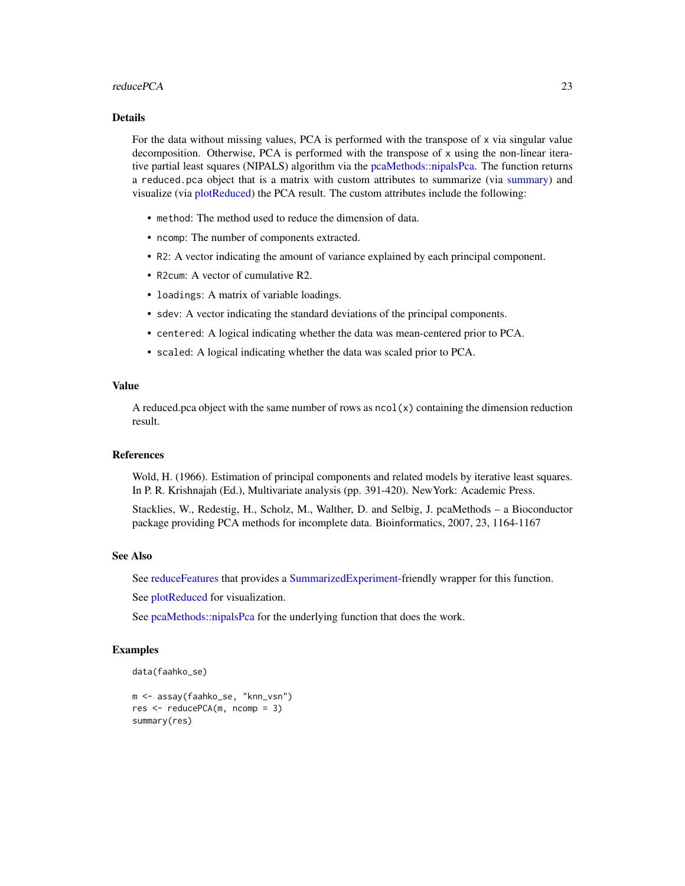#### <span id="page-22-0"></span>reducePCA 23

#### Details

For the data without missing values, PCA is performed with the transpose of x via singular value decomposition. Otherwise, PCA is performed with the transpose of x using the non-linear iterative partial least squares (NIPALS) algorithm via the [pcaMethods::nipalsPca.](#page-0-0) The function returns a reduced.pca object that is a matrix with custom attributes to summarize (via [summary\)](#page-0-0) and visualize (via [plotReduced\)](#page-16-1) the PCA result. The custom attributes include the following:

- method: The method used to reduce the dimension of data.
- ncomp: The number of components extracted.
- R2: A vector indicating the amount of variance explained by each principal component.
- R2cum: A vector of cumulative R2.
- loadings: A matrix of variable loadings.
- sdev: A vector indicating the standard deviations of the principal components.
- centered: A logical indicating whether the data was mean-centered prior to PCA.
- scaled: A logical indicating whether the data was scaled prior to PCA.

#### Value

A reduced.pca object with the same number of rows as  $\text{ncol}(x)$  containing the dimension reduction result.

#### References

Wold, H. (1966). Estimation of principal components and related models by iterative least squares. In P. R. Krishnajah (Ed.), Multivariate analysis (pp. 391-420). NewYork: Academic Press.

Stacklies, W., Redestig, H., Scholz, M., Walther, D. and Selbig, J. pcaMethods – a Bioconductor package providing PCA methods for incomplete data. Bioinformatics, 2007, 23, 1164-1167

### See Also

See [reduceFeatures](#page-19-1) that provides a [SummarizedExperiment-](#page-0-0)friendly wrapper for this function.

See [plotReduced](#page-16-1) for visualization.

See [pcaMethods::nipalsPca](#page-0-0) for the underlying function that does the work.

```
data(faahko_se)
```

```
m <- assay(faahko_se, "knn_vsn")
res <- reducePCA(m, ncomp = 3)
summary(res)
```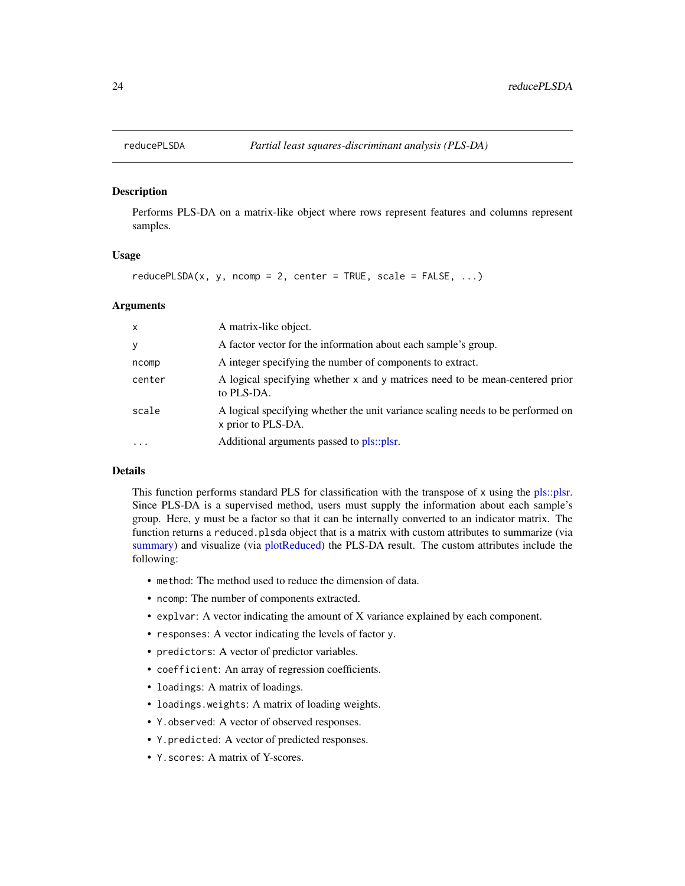<span id="page-23-1"></span><span id="page-23-0"></span>

Performs PLS-DA on a matrix-like object where rows represent features and columns represent samples.

#### Usage

 $reducePLSDA(x, y, ncomp = 2, center = TRUE, scale = FALSE, ...)$ 

### Arguments

| $\mathsf{x}$            | A matrix-like object.                                                                                 |
|-------------------------|-------------------------------------------------------------------------------------------------------|
| У                       | A factor vector for the information about each sample's group.                                        |
| ncomp                   | A integer specifying the number of components to extract.                                             |
| center                  | A logical specifying whether x and y matrices need to be mean-centered prior<br>to PLS-DA.            |
| scale                   | A logical specifying whether the unit variance scaling needs to be performed on<br>x prior to PLS-DA. |
| $\cdot$ $\cdot$ $\cdot$ | Additional arguments passed to pls::plsr.                                                             |

### Details

This function performs standard PLS for classification with the transpose of x using the [pls::plsr.](#page-0-0) Since PLS-DA is a supervised method, users must supply the information about each sample's group. Here, y must be a factor so that it can be internally converted to an indicator matrix. The function returns a reduced.plsda object that is a matrix with custom attributes to summarize (via [summary\)](#page-0-0) and visualize (via [plotReduced\)](#page-16-1) the PLS-DA result. The custom attributes include the following:

- method: The method used to reduce the dimension of data.
- ncomp: The number of components extracted.
- explvar: A vector indicating the amount of X variance explained by each component.
- responses: A vector indicating the levels of factor y.
- predictors: A vector of predictor variables.
- coefficient: An array of regression coefficients.
- loadings: A matrix of loadings.
- loadings.weights: A matrix of loading weights.
- Y.observed: A vector of observed responses.
- Y.predicted: A vector of predicted responses.
- Y.scores: A matrix of Y-scores.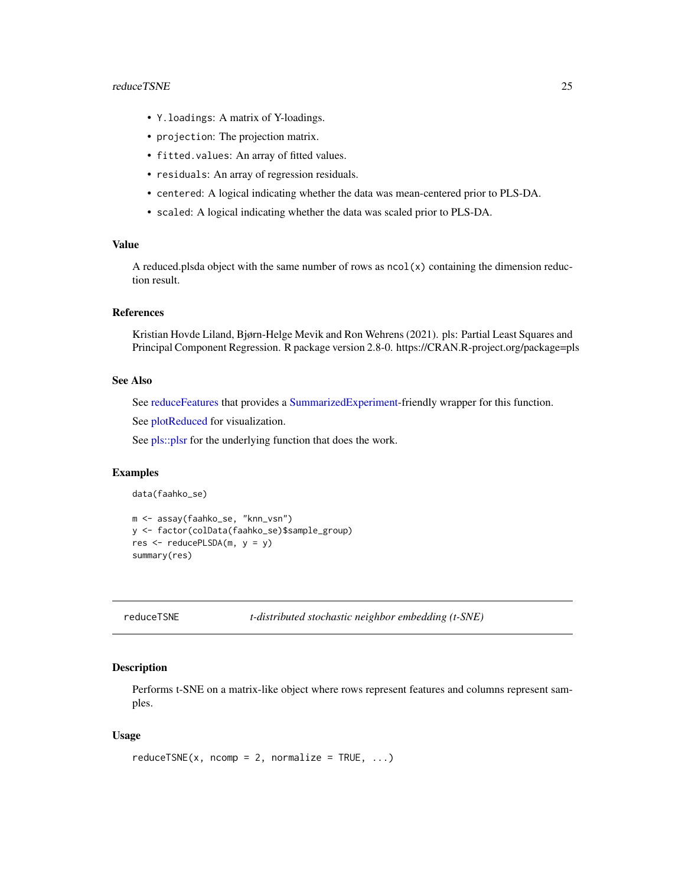#### <span id="page-24-0"></span>reduceTSNE 25

- Y.loadings: A matrix of Y-loadings.
- projection: The projection matrix.
- fitted.values: An array of fitted values.
- residuals: An array of regression residuals.
- centered: A logical indicating whether the data was mean-centered prior to PLS-DA.
- scaled: A logical indicating whether the data was scaled prior to PLS-DA.

### Value

A reduced.plsda object with the same number of rows as  $ncol(x)$  containing the dimension reduction result.

### References

Kristian Hovde Liland, Bjørn-Helge Mevik and Ron Wehrens (2021). pls: Partial Least Squares and Principal Component Regression. R package version 2.8-0. https://CRAN.R-project.org/package=pls

#### See Also

See [reduceFeatures](#page-19-1) that provides a [SummarizedExperiment-](#page-0-0)friendly wrapper for this function.

See [plotReduced](#page-16-1) for visualization.

See pls:: plsr for the underlying function that does the work.

### Examples

```
data(faahko_se)
```

```
m <- assay(faahko_se, "knn_vsn")
y <- factor(colData(faahko_se)$sample_group)
res \leq reducePLSDA(m, y = y)
summary(res)
```
<span id="page-24-1"></span>

reduceTSNE *t-distributed stochastic neighbor embedding (t-SNE)*

#### Description

Performs t-SNE on a matrix-like object where rows represent features and columns represent samples.

### Usage

```
reduceTSNE(x, ncomp = 2, normalize = TRUE, ...)
```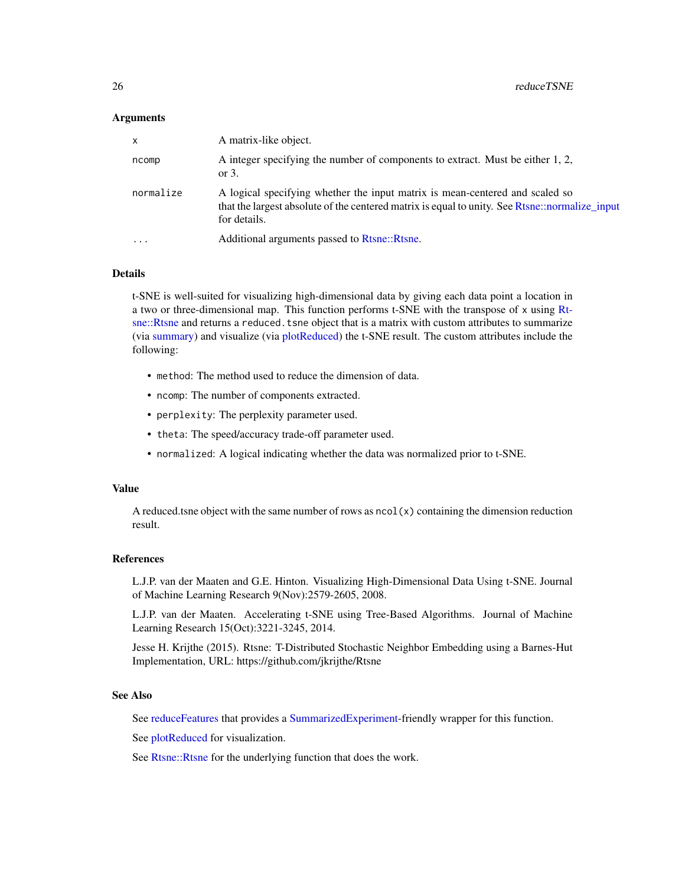### <span id="page-25-0"></span>Arguments

| X         | A matrix-like object.                                                                                                                                                                          |
|-----------|------------------------------------------------------------------------------------------------------------------------------------------------------------------------------------------------|
| ncomp     | A integer specifying the number of components to extract. Must be either 1, 2,<br>or $3$ .                                                                                                     |
| normalize | A logical specifying whether the input matrix is mean-centered and scaled so<br>that the largest absolute of the centered matrix is equal to unity. See Rtsne::normalize_input<br>for details. |
| $\ddotsc$ | Additional arguments passed to Rtsne::Rtsne.                                                                                                                                                   |

### Details

t-SNE is well-suited for visualizing high-dimensional data by giving each data point a location in a two or three-dimensional map. This function performs t-SNE with the transpose of x using [Rt](#page-0-0)[sne::Rtsne](#page-0-0) and returns a reduced.tsne object that is a matrix with custom attributes to summarize (via [summary\)](#page-0-0) and visualize (via [plotReduced\)](#page-16-1) the t-SNE result. The custom attributes include the following:

- method: The method used to reduce the dimension of data.
- ncomp: The number of components extracted.
- perplexity: The perplexity parameter used.
- theta: The speed/accuracy trade-off parameter used.
- normalized: A logical indicating whether the data was normalized prior to t-SNE.

### Value

A reduced.tsne object with the same number of rows as  $ncol(x)$  containing the dimension reduction result.

### References

L.J.P. van der Maaten and G.E. Hinton. Visualizing High-Dimensional Data Using t-SNE. Journal of Machine Learning Research 9(Nov):2579-2605, 2008.

L.J.P. van der Maaten. Accelerating t-SNE using Tree-Based Algorithms. Journal of Machine Learning Research 15(Oct):3221-3245, 2014.

Jesse H. Krijthe (2015). Rtsne: T-Distributed Stochastic Neighbor Embedding using a Barnes-Hut Implementation, URL: https://github.com/jkrijthe/Rtsne

### See Also

See [reduceFeatures](#page-19-1) that provides a [SummarizedExperiment-](#page-0-0)friendly wrapper for this function.

See [plotReduced](#page-16-1) for visualization.

See [Rtsne::Rtsne](#page-0-0) for the underlying function that does the work.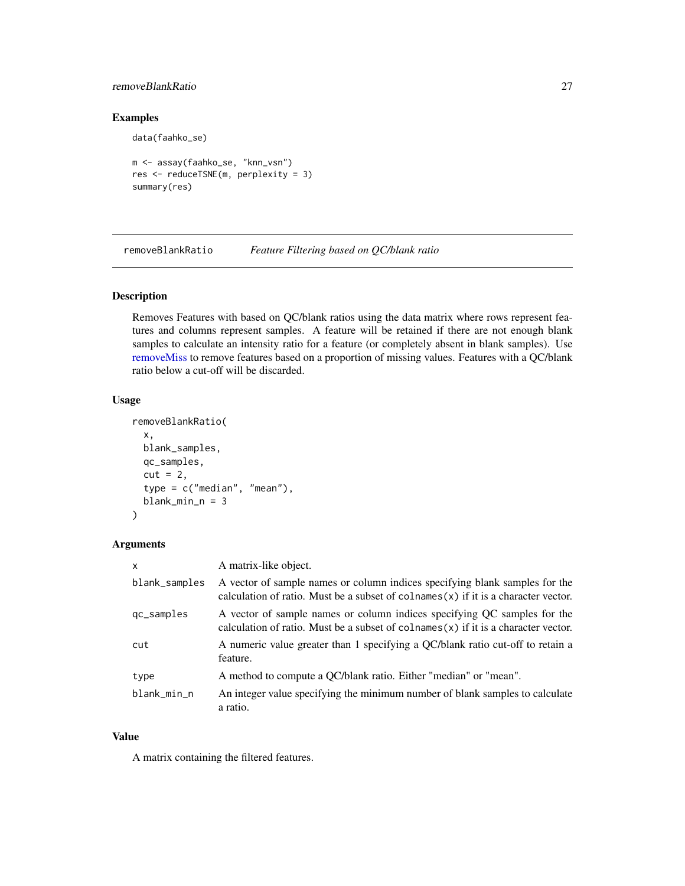### <span id="page-26-0"></span>removeBlankRatio 27

data(faahko\_se)

### Examples

```
m <- assay(faahko_se, "knn_vsn")
res <- reduceTSNE(m, perplexity = 3)
summary(res)
```
<span id="page-26-1"></span>removeBlankRatio *Feature Filtering based on QC/blank ratio*

### Description

Removes Features with based on QC/blank ratios using the data matrix where rows represent features and columns represent samples. A feature will be retained if there are not enough blank samples to calculate an intensity ratio for a feature (or completely absent in blank samples). Use [removeMiss](#page-30-1) to remove features based on a proportion of missing values. Features with a QC/blank ratio below a cut-off will be discarded.

### Usage

```
removeBlankRatio(
  x,
 blank_samples,
 qc_samples,
 cut = 2,
  type = c("median", "mean"),blank\_min_n = 3)
```
### Arguments

| $\mathsf{x}$  | A matrix-like object.                                                                                                                                                |
|---------------|----------------------------------------------------------------------------------------------------------------------------------------------------------------------|
| blank_samples | A vector of sample names or column indices specifying blank samples for the<br>calculation of ratio. Must be a subset of colnames $(x)$ if it is a character vector. |
| gc_samples    | A vector of sample names or column indices specifying QC samples for the<br>calculation of ratio. Must be a subset of colnames $(x)$ if it is a character vector.    |
| cut           | A numeric value greater than 1 specifying a QC/blank ratio cut-off to retain a<br>feature.                                                                           |
| type          | A method to compute a QC/blank ratio. Either "median" or "mean".                                                                                                     |
| blank_min_n   | An integer value specifying the minimum number of blank samples to calculate<br>a ratio.                                                                             |

### Value

A matrix containing the filtered features.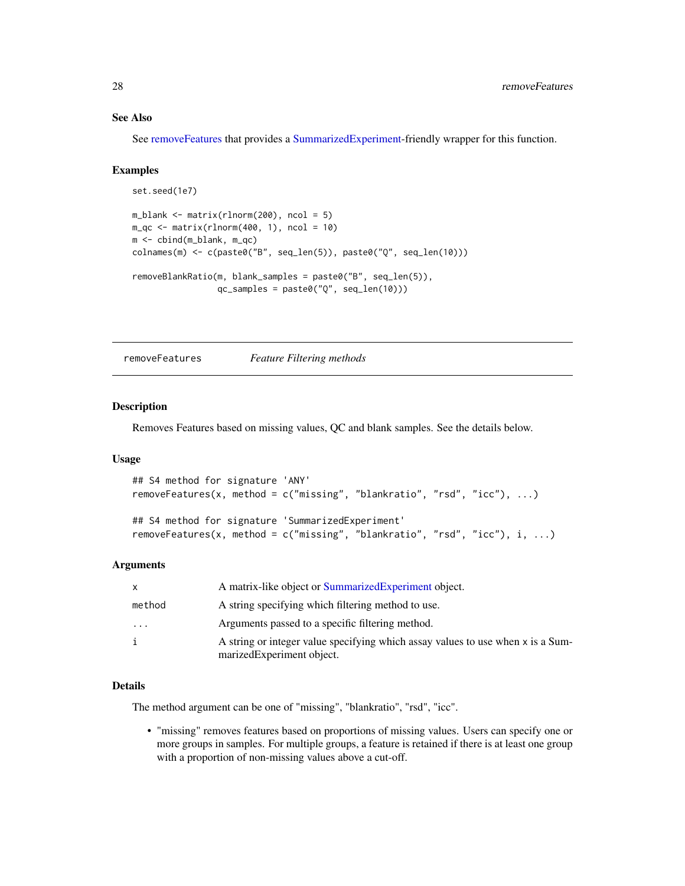### <span id="page-27-0"></span>See Also

See [removeFeatures](#page-27-1) that provides a [SummarizedExperiment-](#page-0-0)friendly wrapper for this function.

#### Examples

```
set.seed(1e7)
m_blank <- matrix(rlnorm(200), ncol = 5)
m_qc \leftarrow matrix(rlnorm(400, 1), ncol = 10)m <- cbind(m_blank, m_qc)
colnames(m) <- c(paste0("B", seq_len(5)), paste0("Q", seq_len(10)))
removeBlankRatio(m, blank_samples = paste0("B", seq_len(5)),
                 qc_samples = paste0("Q", seq_len(10)))
```
<span id="page-27-1"></span>removeFeatures *Feature Filtering methods*

### Description

Removes Features based on missing values, QC and blank samples. See the details below.

### Usage

```
## S4 method for signature 'ANY'
removeFeatures(x, method = c("missing", "blankratio", "rsd", "icc"), ...)
## S4 method for signature 'SummarizedExperiment'
removeFeatures(x, method = c("missing", "blankratio", "rsd", "icc"), i, ...)
```
### Arguments

| X       | A matrix-like object or Summarized Experiment object.                                                        |
|---------|--------------------------------------------------------------------------------------------------------------|
| method  | A string specifying which filtering method to use.                                                           |
| $\cdot$ | Arguments passed to a specific filtering method.                                                             |
| i       | A string or integer value specifying which assay values to use when x is a Sum-<br>marizedExperiment object. |

### Details

The method argument can be one of "missing", "blankratio", "rsd", "icc".

• "missing" removes features based on proportions of missing values. Users can specify one or more groups in samples. For multiple groups, a feature is retained if there is at least one group with a proportion of non-missing values above a cut-off.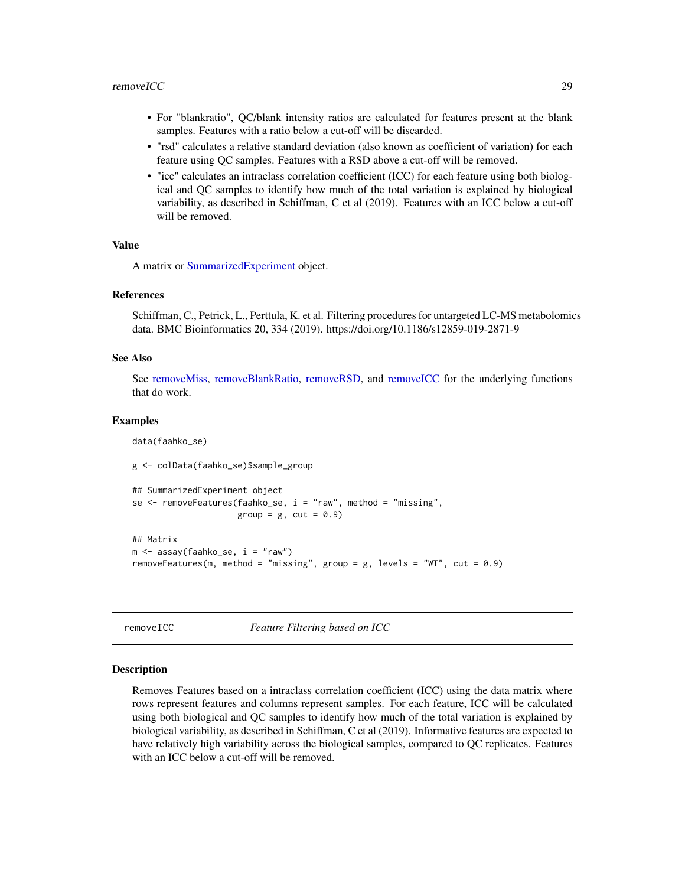- <span id="page-28-0"></span>• For "blankratio", QC/blank intensity ratios are calculated for features present at the blank samples. Features with a ratio below a cut-off will be discarded.
- "rsd" calculates a relative standard deviation (also known as coefficient of variation) for each feature using QC samples. Features with a RSD above a cut-off will be removed.
- "icc" calculates an intraclass correlation coefficient (ICC) for each feature using both biological and QC samples to identify how much of the total variation is explained by biological variability, as described in Schiffman, C et al (2019). Features with an ICC below a cut-off will be removed.

### Value

A matrix or [SummarizedExperiment](#page-0-0) object.

### References

Schiffman, C., Petrick, L., Perttula, K. et al. Filtering procedures for untargeted LC-MS metabolomics data. BMC Bioinformatics 20, 334 (2019). https://doi.org/10.1186/s12859-019-2871-9

### See Also

See [removeMiss,](#page-30-1) [removeBlankRatio,](#page-26-1) [removeRSD,](#page-31-1) and [removeICC](#page-28-1) for the underlying functions that do work.

#### Examples

data(faahko\_se)

g <- colData(faahko\_se)\$sample\_group

```
## SummarizedExperiment object
se \leq removeFeatures(faahko_se, i = "raw", method = "missing",
                     group = g, cut = 0.9)
## Matrix
m <- assay(faahko_se, i = "raw")
removeFeatures(m, method = "missing", group = g, levels = "WT", cut = 0.9)
```
<span id="page-28-1"></span>removeICC *Feature Filtering based on ICC*

#### Description

Removes Features based on a intraclass correlation coefficient (ICC) using the data matrix where rows represent features and columns represent samples. For each feature, ICC will be calculated using both biological and QC samples to identify how much of the total variation is explained by biological variability, as described in Schiffman, C et al (2019). Informative features are expected to have relatively high variability across the biological samples, compared to QC replicates. Features with an ICC below a cut-off will be removed.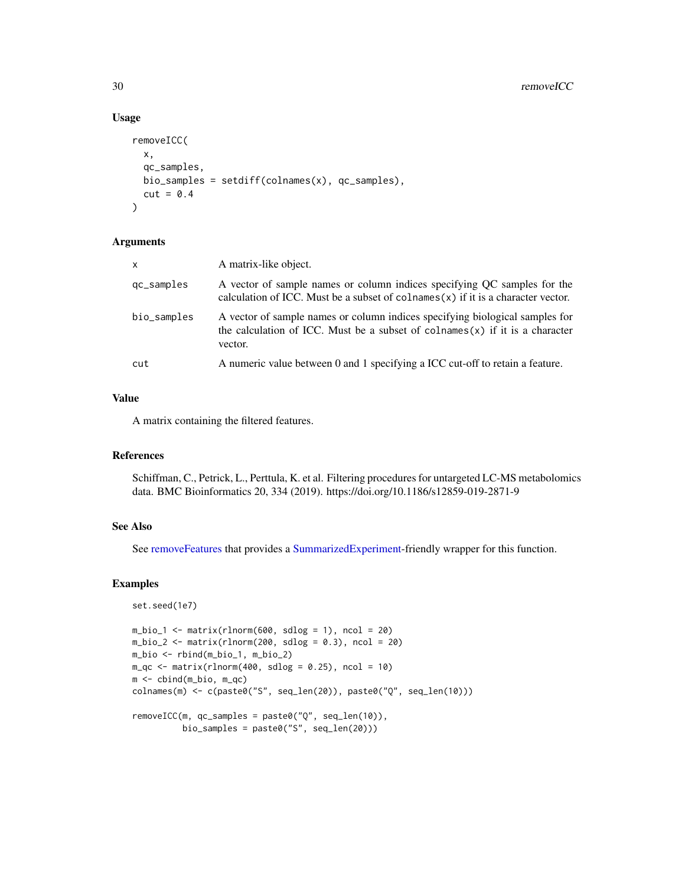### Usage

```
removeICC(
  x,
 qc_samples,
 bio_samples = setdiff(colnames(x), qc_samples),
 cut = 0.4)
```
### Arguments

| $\mathsf{x}$ | A matrix-like object.                                                                                                                                                      |
|--------------|----------------------------------------------------------------------------------------------------------------------------------------------------------------------------|
| qc_samples   | A vector of sample names or column indices specifying OC samples for the<br>calculation of ICC. Must be a subset of colnames $(x)$ if it is a character vector.            |
| bio_samples  | A vector of sample names or column indices specifying biological samples for<br>the calculation of ICC. Must be a subset of colnames $(x)$ if it is a character<br>vector. |
| cut          | A numeric value between 0 and 1 specifying a ICC cut-off to retain a feature.                                                                                              |

#### Value

A matrix containing the filtered features.

### References

Schiffman, C., Petrick, L., Perttula, K. et al. Filtering procedures for untargeted LC-MS metabolomics data. BMC Bioinformatics 20, 334 (2019). https://doi.org/10.1186/s12859-019-2871-9

### See Also

See [removeFeatures](#page-27-1) that provides a [SummarizedExperiment-](#page-0-0)friendly wrapper for this function.

```
set.seed(1e7)
m_bio_1 \leftarrow matrix(rlnorm(600, sdlog = 1), ncol = 20)m_bio_2 \leftarrow matrix(rlnorm(200, sdlog = 0.3), ncol = 20)m_bio <- rbind(m_bio_1, m_bio_2)
m_qc \leq matrix(rlnorm(400, sdlog = 0.25), ncol = 10)m <- cbind(m_bio, m_qc)
colnames(m) <- c(paste0("S", seq_len(20)), paste0("Q", seq_len(10)))
removeICC(m, qc_samples = paste0("Q", seq_len(10)),
          bio_samples = paste0("S", seq_len(20)))
```
<span id="page-29-0"></span>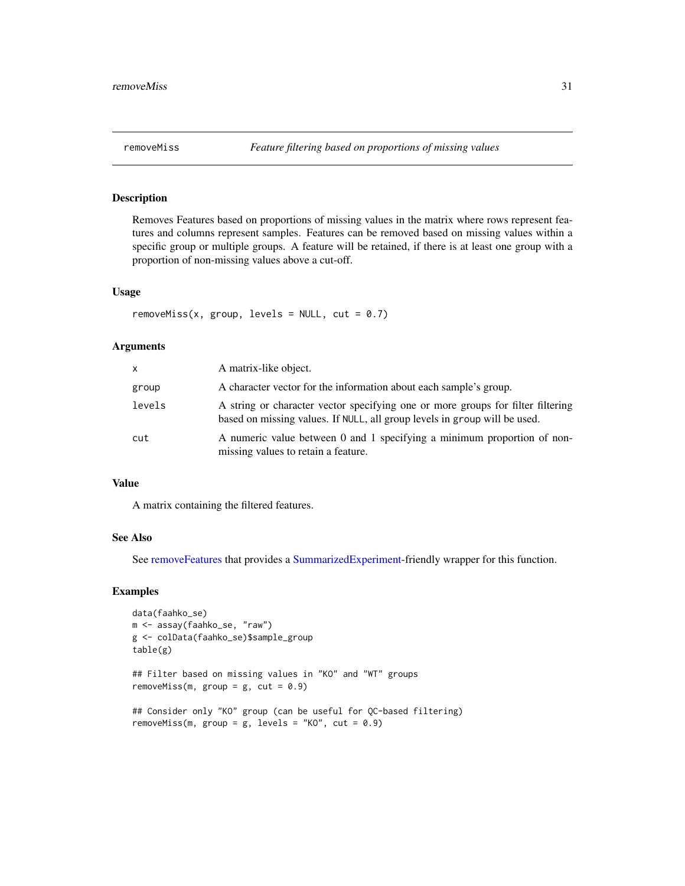<span id="page-30-1"></span><span id="page-30-0"></span>Removes Features based on proportions of missing values in the matrix where rows represent features and columns represent samples. Features can be removed based on missing values within a specific group or multiple groups. A feature will be retained, if there is at least one group with a proportion of non-missing values above a cut-off.

### Usage

```
removeMiss(x, group, levels = NULL, cut = 0.7)
```
### Arguments

| x.     | A matrix-like object.                                                                                                                                        |
|--------|--------------------------------------------------------------------------------------------------------------------------------------------------------------|
| group  | A character vector for the information about each sample's group.                                                                                            |
| levels | A string or character vector specifying one or more groups for filter filtering<br>based on missing values. If NULL, all group levels in group will be used. |
| cut    | A numeric value between 0 and 1 specifying a minimum proportion of non-<br>missing values to retain a feature.                                               |

### Value

A matrix containing the filtered features.

#### See Also

See [removeFeatures](#page-27-1) that provides a [SummarizedExperiment-](#page-0-0)friendly wrapper for this function.

```
data(faahko_se)
m <- assay(faahko_se, "raw")
g <- colData(faahko_se)$sample_group
table(g)
## Filter based on missing values in "KO" and "WT" groups
removeMiss(m, group = g, cut = 0.9)## Consider only "KO" group (can be useful for QC-based filtering)
removeMiss(m, group = g, levels = "KO", cut = 0.9)
```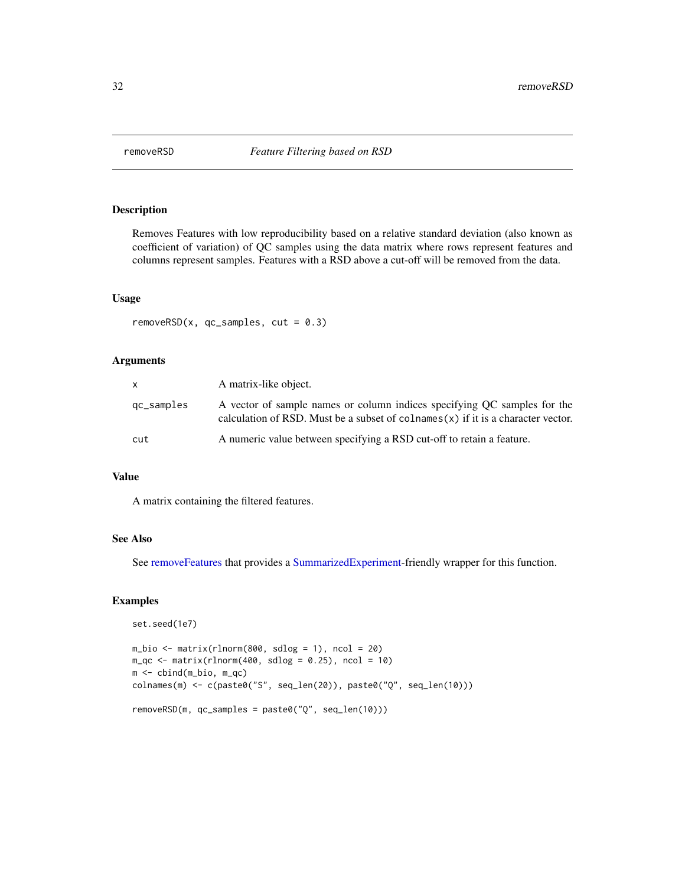<span id="page-31-1"></span><span id="page-31-0"></span>

Removes Features with low reproducibility based on a relative standard deviation (also known as coefficient of variation) of QC samples using the data matrix where rows represent features and columns represent samples. Features with a RSD above a cut-off will be removed from the data.

#### Usage

removeRSD( $x$ , qc\_samples, cut = 0.3)

### Arguments

| x.         | A matrix-like object.                                                                                                                                           |
|------------|-----------------------------------------------------------------------------------------------------------------------------------------------------------------|
| qc_samples | A vector of sample names or column indices specifying QC samples for the<br>calculation of RSD. Must be a subset of colnames $(x)$ if it is a character vector. |
| cut        | A numeric value between specifying a RSD cut-off to retain a feature.                                                                                           |

### Value

A matrix containing the filtered features.

### See Also

See [removeFeatures](#page-27-1) that provides a [SummarizedExperiment-](#page-0-0)friendly wrapper for this function.

```
set.seed(1e7)
m_bio <- matrix(rlnorm(800, sdlog = 1), ncol = 20)
m_qc \leq matrix(rlnorm(400, sdlog = 0.25), ncol = 10m <- cbind(m_bio, m_qc)
colnames(m) <- c(paste0("S", seq_len(20)), paste0("Q", seq_len(10)))
removeRSD(m, qc_samples = paste0("Q", seq_len(10)))
```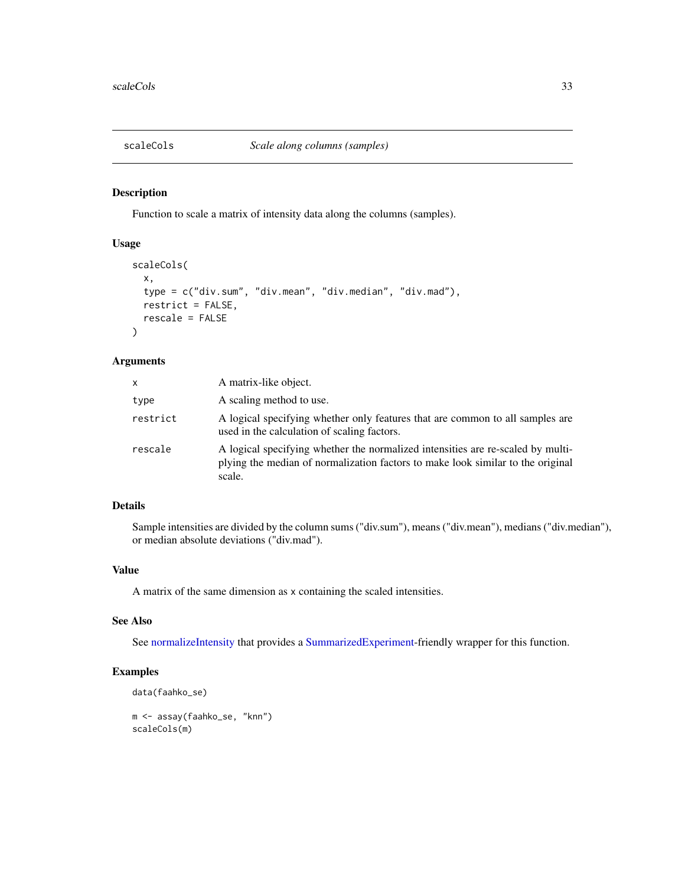<span id="page-32-1"></span><span id="page-32-0"></span>

Function to scale a matrix of intensity data along the columns (samples).

### Usage

```
scaleCols(
  x,
  type = c("div.sum", "div.mean", "div.median", "div.mad"),
  restrict = FALSE,
  rescale = FALSE
\mathcal{L}
```
### Arguments

| X        | A matrix-like object.                                                                                                                                                        |
|----------|------------------------------------------------------------------------------------------------------------------------------------------------------------------------------|
| type     | A scaling method to use.                                                                                                                                                     |
| restrict | A logical specifying whether only features that are common to all samples are<br>used in the calculation of scaling factors.                                                 |
| rescale  | A logical specifying whether the normalized intensities are re-scaled by multi-<br>plying the median of normalization factors to make look similar to the original<br>scale. |

### Details

Sample intensities are divided by the column sums ("div.sum"), means ("div.mean"), medians ("div.median"), or median absolute deviations ("div.mad").

### Value

A matrix of the same dimension as x containing the scaled intensities.

### See Also

See [normalizeIntensity](#page-8-1) that provides a [SummarizedExperiment-](#page-0-0)friendly wrapper for this function.

```
data(faahko_se)
m <- assay(faahko_se, "knn")
scaleCols(m)
```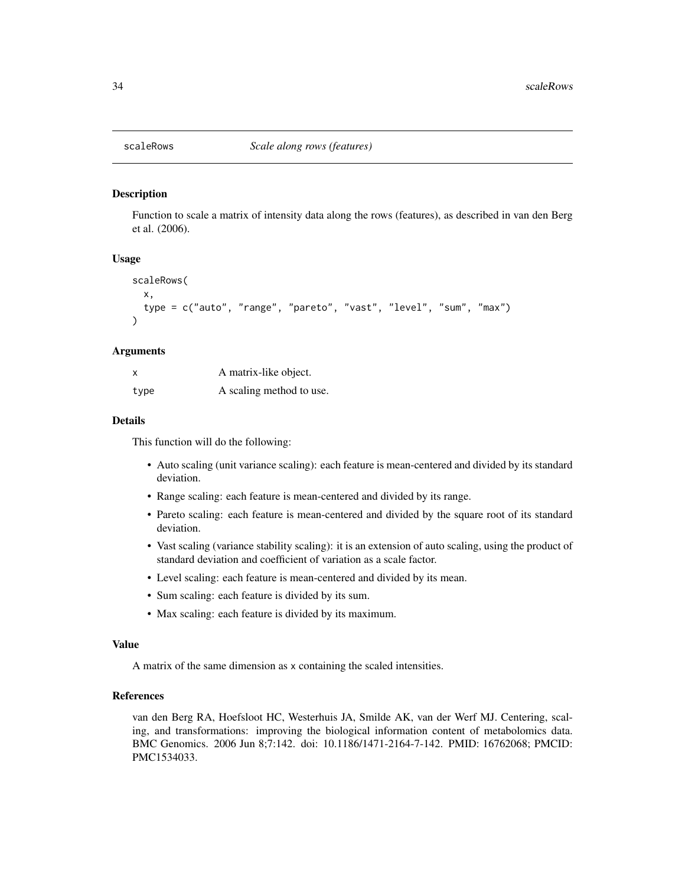<span id="page-33-1"></span><span id="page-33-0"></span>

Function to scale a matrix of intensity data along the rows (features), as described in van den Berg et al. (2006).

### Usage

```
scaleRows(
  x,
  type = c("auto", "range", "pareto", "vast", "level", "sum", "max")
)
```
### Arguments

| x    | A matrix-like object.    |
|------|--------------------------|
| type | A scaling method to use. |

### Details

This function will do the following:

- Auto scaling (unit variance scaling): each feature is mean-centered and divided by its standard deviation.
- Range scaling: each feature is mean-centered and divided by its range.
- Pareto scaling: each feature is mean-centered and divided by the square root of its standard deviation.
- Vast scaling (variance stability scaling): it is an extension of auto scaling, using the product of standard deviation and coefficient of variation as a scale factor.
- Level scaling: each feature is mean-centered and divided by its mean.
- Sum scaling: each feature is divided by its sum.
- Max scaling: each feature is divided by its maximum.

#### Value

A matrix of the same dimension as x containing the scaled intensities.

### References

van den Berg RA, Hoefsloot HC, Westerhuis JA, Smilde AK, van der Werf MJ. Centering, scaling, and transformations: improving the biological information content of metabolomics data. BMC Genomics. 2006 Jun 8;7:142. doi: 10.1186/1471-2164-7-142. PMID: 16762068; PMCID: PMC1534033.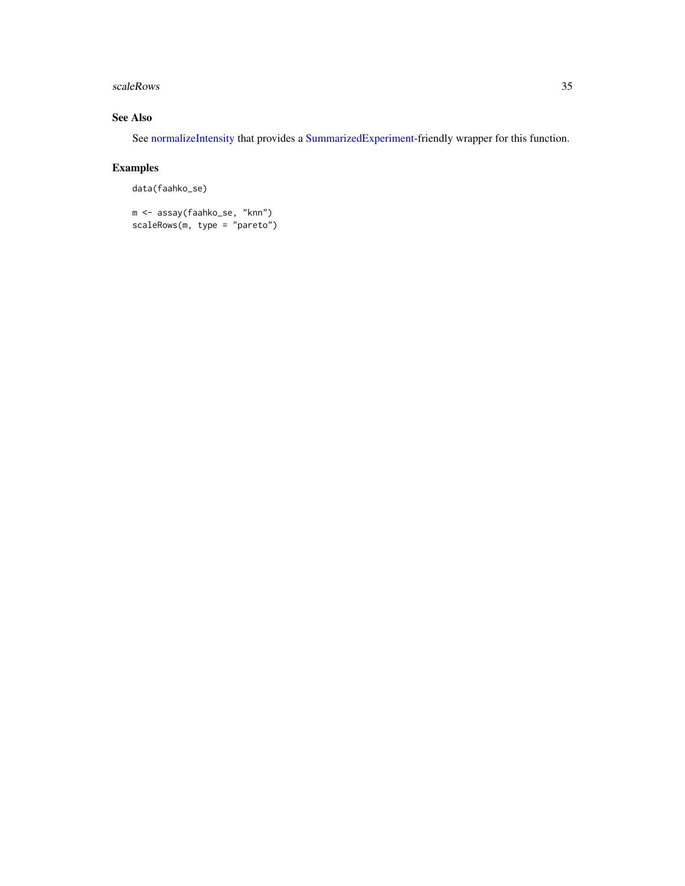#### <span id="page-34-0"></span>scaleRows 35

### See Also

See [normalizeIntensity](#page-8-1) that provides a [SummarizedExperiment-](#page-0-0)friendly wrapper for this function.

```
data(faahko_se)
```

```
m <- assay(faahko_se, "knn")
scaleRows(m, type = "pareto")
```